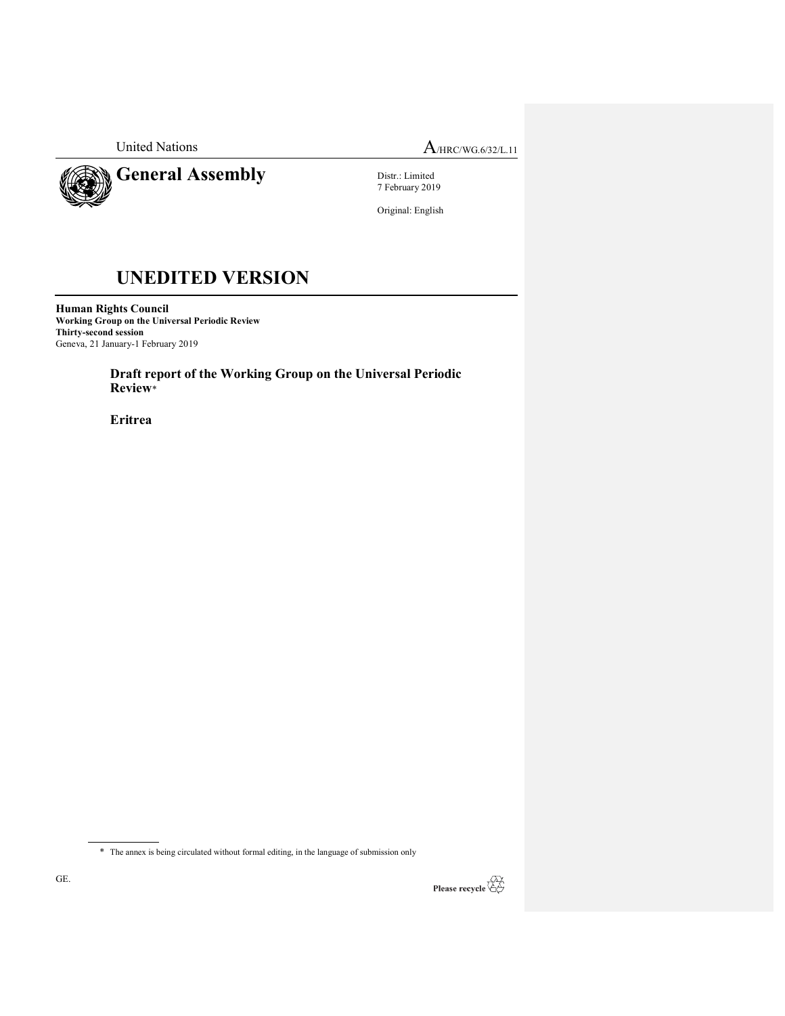

General Assembly

United Nations  $A_{\text{MRC/WG.6/32/L.11}}$ 

Distr.: Limited 7 February 2019

Original: English

# UNEDITED VERSION

Human Rights Council Working Group on the Universal Periodic Review Thirty-second session Geneva, 21 January-1 February 2019

> Draft report of the Working Group on the Universal Periodic Review\*

Eritrea

 $\overline{\phantom{a}}$ 



<sup>\*</sup> The annex is being circulated without formal editing, in the language of submission only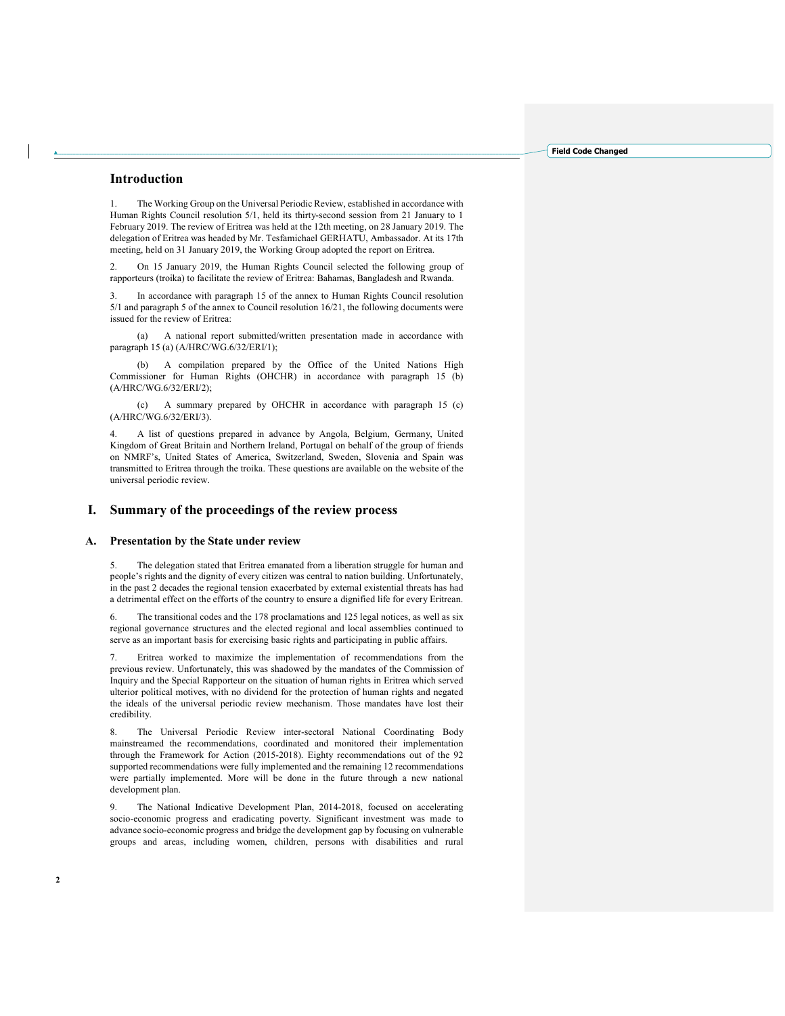## Introduction

The Working Group on the Universal Periodic Review, established in accordance with Human Rights Council resolution 5/1, held its thirty-second session from 21 January to 1 February 2019. The review of Eritrea was held at the 12th meeting, on 28 January 2019. The delegation of Eritrea was headed by Mr. Tesfamichael GERHATU, Ambassador. At its 17th meeting, held on 31 January 2019, the Working Group adopted the report on Eritrea.

2. On 15 January 2019, the Human Rights Council selected the following group of rapporteurs (troika) to facilitate the review of Eritrea: Bahamas, Bangladesh and Rwanda.

3. In accordance with paragraph 15 of the annex to Human Rights Council resolution 5/1 and paragraph 5 of the annex to Council resolution 16/21, the following documents were issued for the review of Eritrea:

 (a) A national report submitted/written presentation made in accordance with paragraph 15 (a) (A/HRC/WG.6/32/ERI/1);

 (b) A compilation prepared by the Office of the United Nations High Commissioner for Human Rights (OHCHR) in accordance with paragraph 15 (b) (A/HRC/WG.6/32/ERI/2);

 (c) A summary prepared by OHCHR in accordance with paragraph 15 (c) (A/HRC/WG.6/32/ERI/3).

4. A list of questions prepared in advance by Angola, Belgium, Germany, United Kingdom of Great Britain and Northern Ireland, Portugal on behalf of the group of friends on NMRF's, United States of America, Switzerland, Sweden, Slovenia and Spain was transmitted to Eritrea through the troika. These questions are available on the website of the universal periodic review.

# I. Summary of the proceedings of the review process

### A. Presentation by the State under review

5. The delegation stated that Eritrea emanated from a liberation struggle for human and people's rights and the dignity of every citizen was central to nation building. Unfortunately, in the past 2 decades the regional tension exacerbated by external existential threats has had a detrimental effect on the efforts of the country to ensure a dignified life for every Eritrean.

6. The transitional codes and the 178 proclamations and 125 legal notices, as well as six regional governance structures and the elected regional and local assemblies continued to serve as an important basis for exercising basic rights and participating in public affairs.

7. Eritrea worked to maximize the implementation of recommendations from the previous review. Unfortunately, this was shadowed by the mandates of the Commission of Inquiry and the Special Rapporteur on the situation of human rights in Eritrea which served ulterior political motives, with no dividend for the protection of human rights and negated the ideals of the universal periodic review mechanism. Those mandates have lost their credibility.

8. The Universal Periodic Review inter-sectoral National Coordinating Body mainstreamed the recommendations, coordinated and monitored their implementation through the Framework for Action (2015-2018). Eighty recommendations out of the 92 supported recommendations were fully implemented and the remaining 12 recommendations were partially implemented. More will be done in the future through a new national development plan.

9. The National Indicative Development Plan, 2014-2018, focused on accelerating socio-economic progress and eradicating poverty. Significant investment was made to advance socio-economic progress and bridge the development gap by focusing on vulnerable groups and areas, including women, children, persons with disabilities and rural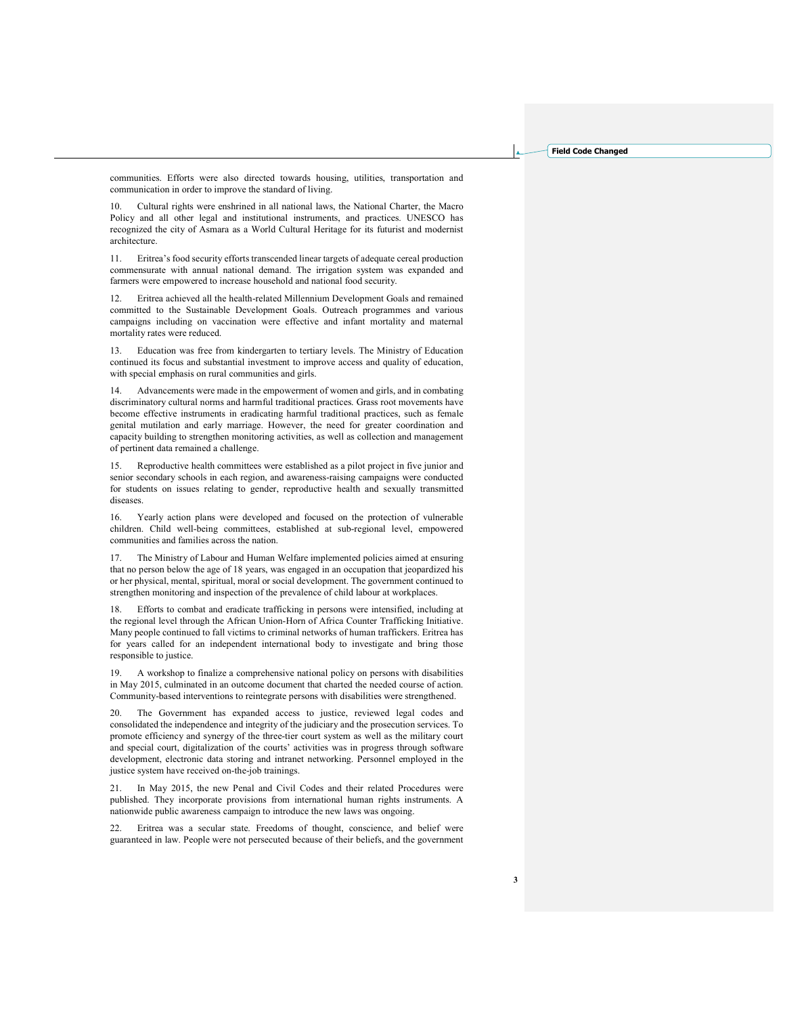communities. Efforts were also directed towards housing, utilities, transportation and communication in order to improve the standard of living.

10. Cultural rights were enshrined in all national laws, the National Charter, the Macro Policy and all other legal and institutional instruments, and practices. UNESCO has recognized the city of Asmara as a World Cultural Heritage for its futurist and modernist architecture.

11. Eritrea's food security efforts transcended linear targets of adequate cereal production commensurate with annual national demand. The irrigation system was expanded and farmers were empowered to increase household and national food security.

12. Eritrea achieved all the health-related Millennium Development Goals and remained committed to the Sustainable Development Goals. Outreach programmes and various campaigns including on vaccination were effective and infant mortality and maternal mortality rates were reduced.

13. Education was free from kindergarten to tertiary levels. The Ministry of Education continued its focus and substantial investment to improve access and quality of education, with special emphasis on rural communities and girls.

14. Advancements were made in the empowerment of women and girls, and in combating discriminatory cultural norms and harmful traditional practices. Grass root movements have become effective instruments in eradicating harmful traditional practices, such as female genital mutilation and early marriage. However, the need for greater coordination and capacity building to strengthen monitoring activities, as well as collection and management of pertinent data remained a challenge.

Reproductive health committees were established as a pilot project in five junior and senior secondary schools in each region, and awareness-raising campaigns were conducted for students on issues relating to gender, reproductive health and sexually transmitted diseases.

16. Yearly action plans were developed and focused on the protection of vulnerable children. Child well-being committees, established at sub-regional level, empowered communities and families across the nation.

17. The Ministry of Labour and Human Welfare implemented policies aimed at ensuring that no person below the age of 18 years, was engaged in an occupation that jeopardized his or her physical, mental, spiritual, moral or social development. The government continued to strengthen monitoring and inspection of the prevalence of child labour at workplaces.

18. Efforts to combat and eradicate trafficking in persons were intensified, including at the regional level through the African Union-Horn of Africa Counter Trafficking Initiative. Many people continued to fall victims to criminal networks of human traffickers. Eritrea has for years called for an independent international body to investigate and bring those responsible to justice.

19. A workshop to finalize a comprehensive national policy on persons with disabilities in May 2015, culminated in an outcome document that charted the needed course of action. Community-based interventions to reintegrate persons with disabilities were strengthened.

20. The Government has expanded access to justice, reviewed legal codes and consolidated the independence and integrity of the judiciary and the prosecution services. To promote efficiency and synergy of the three-tier court system as well as the military court and special court, digitalization of the courts' activities was in progress through software development, electronic data storing and intranet networking. Personnel employed in the justice system have received on-the-job trainings.

21. In May 2015, the new Penal and Civil Codes and their related Procedures were published. They incorporate provisions from international human rights instruments. A nationwide public awareness campaign to introduce the new laws was ongoing.

22. Eritrea was a secular state. Freedoms of thought, conscience, and belief were guaranteed in law. People were not persecuted because of their beliefs, and the government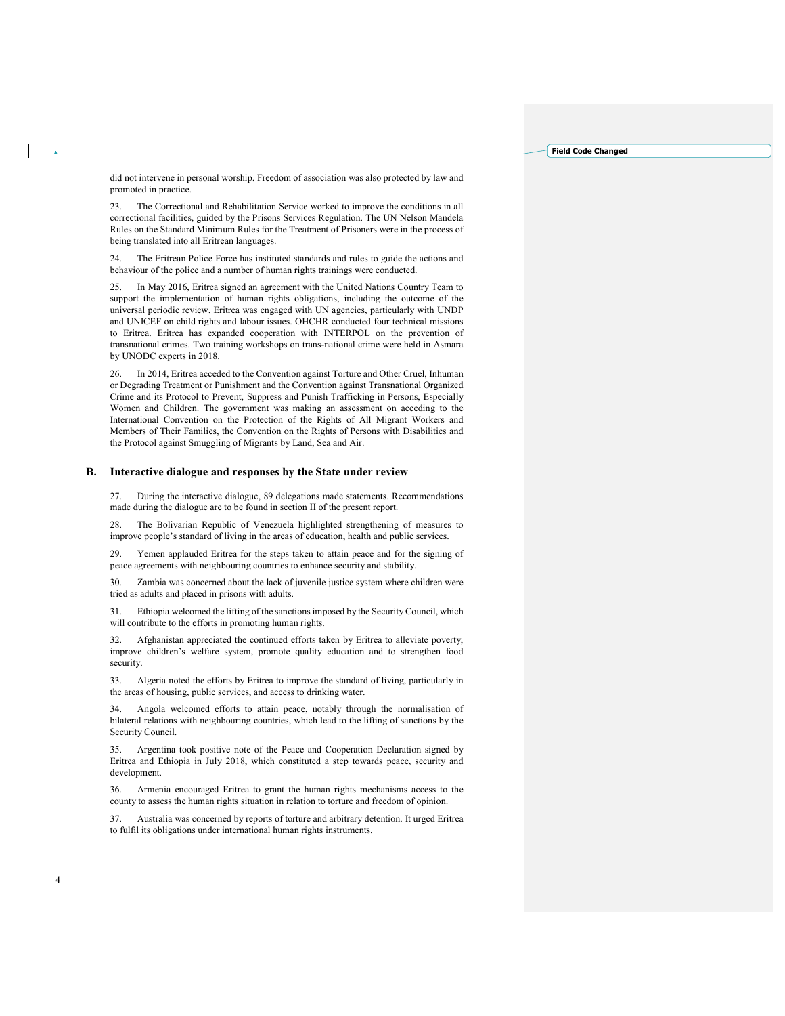did not intervene in personal worship. Freedom of association was also protected by law and promoted in practice.

23. The Correctional and Rehabilitation Service worked to improve the conditions in all correctional facilities, guided by the Prisons Services Regulation. The UN Nelson Mandela Rules on the Standard Minimum Rules for the Treatment of Prisoners were in the process of being translated into all Eritrean languages.

24. The Eritrean Police Force has instituted standards and rules to guide the actions and behaviour of the police and a number of human rights trainings were conducted.

25. In May 2016, Eritrea signed an agreement with the United Nations Country Team to support the implementation of human rights obligations, including the outcome of the universal periodic review. Eritrea was engaged with UN agencies, particularly with UNDP and UNICEF on child rights and labour issues. OHCHR conducted four technical missions to Eritrea. Eritrea has expanded cooperation with INTERPOL on the prevention of transnational crimes. Two training workshops on trans-national crime were held in Asmara by UNODC experts in 2018.

26. In 2014, Eritrea acceded to the Convention against Torture and Other Cruel, Inhuman or Degrading Treatment or Punishment and the Convention against Transnational Organized Crime and its Protocol to Prevent, Suppress and Punish Trafficking in Persons, Especially Women and Children. The government was making an assessment on acceding to the International Convention on the Protection of the Rights of All Migrant Workers and Members of Their Families, the Convention on the Rights of Persons with Disabilities and the Protocol against Smuggling of Migrants by Land, Sea and Air.

## B. Interactive dialogue and responses by the State under review

27. During the interactive dialogue, 89 delegations made statements. Recommendations made during the dialogue are to be found in section II of the present report.

28. The Bolivarian Republic of Venezuela highlighted strengthening of measures to improve people's standard of living in the areas of education, health and public services.

29. Yemen applauded Eritrea for the steps taken to attain peace and for the signing of peace agreements with neighbouring countries to enhance security and stability.

30. Zambia was concerned about the lack of juvenile justice system where children were tried as adults and placed in prisons with adults.

31. Ethiopia welcomed the lifting of the sanctions imposed by the Security Council, which will contribute to the efforts in promoting human rights.

32. Afghanistan appreciated the continued efforts taken by Eritrea to alleviate poverty, improve children's welfare system, promote quality education and to strengthen food security.

33. Algeria noted the efforts by Eritrea to improve the standard of living, particularly in the areas of housing, public services, and access to drinking water.

34. Angola welcomed efforts to attain peace, notably through the normalisation of bilateral relations with neighbouring countries, which lead to the lifting of sanctions by the Security Council.

35. Argentina took positive note of the Peace and Cooperation Declaration signed by Eritrea and Ethiopia in July 2018, which constituted a step towards peace, security and development.

36. Armenia encouraged Eritrea to grant the human rights mechanisms access to the county to assess the human rights situation in relation to torture and freedom of opinion.

37. Australia was concerned by reports of torture and arbitrary detention. It urged Eritrea to fulfil its obligations under international human rights instruments.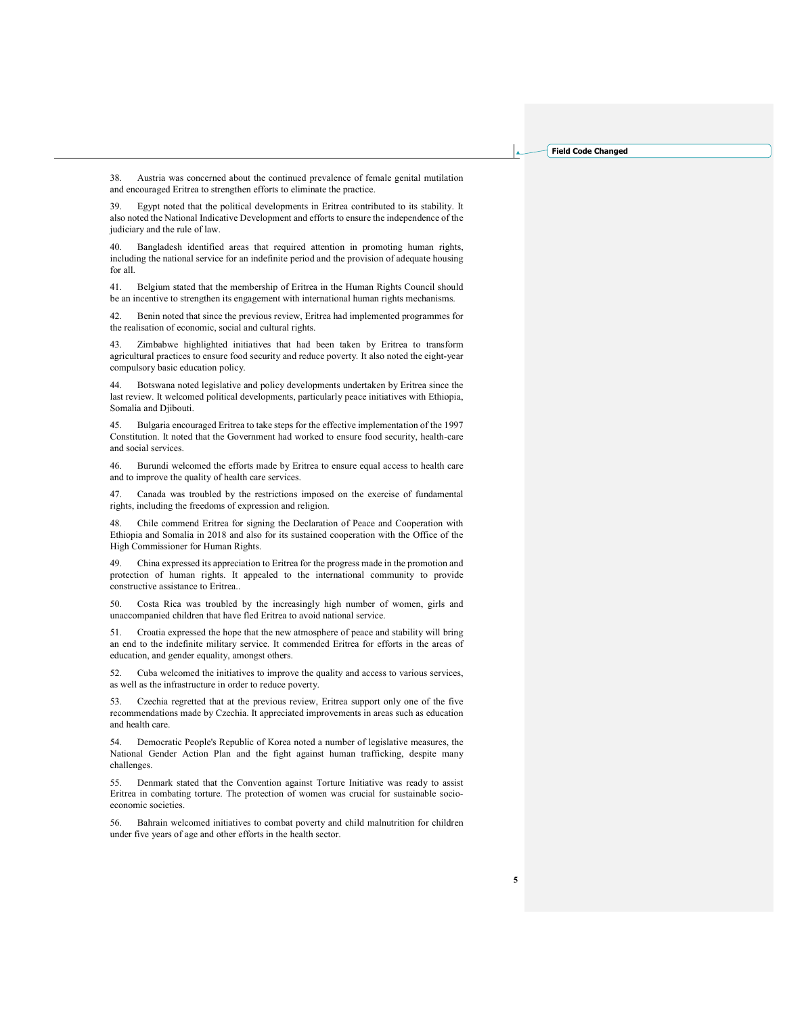38. Austria was concerned about the continued prevalence of female genital mutilation and encouraged Eritrea to strengthen efforts to eliminate the practice.

39. Egypt noted that the political developments in Eritrea contributed to its stability. It also noted the National Indicative Development and efforts to ensure the independence of the judiciary and the rule of law.

40. Bangladesh identified areas that required attention in promoting human rights, including the national service for an indefinite period and the provision of adequate housing for all.

41. Belgium stated that the membership of Eritrea in the Human Rights Council should be an incentive to strengthen its engagement with international human rights mechanisms.

42. Benin noted that since the previous review, Eritrea had implemented programmes for the realisation of economic, social and cultural rights.

Zimbabwe highlighted initiatives that had been taken by Eritrea to transform agricultural practices to ensure food security and reduce poverty. It also noted the eight-year compulsory basic education policy.

44. Botswana noted legislative and policy developments undertaken by Eritrea since the last review. It welcomed political developments, particularly peace initiatives with Ethiopia, Somalia and Djibouti.

45. Bulgaria encouraged Eritrea to take steps for the effective implementation of the 1997 Constitution. It noted that the Government had worked to ensure food security, health-care and social services.

46. Burundi welcomed the efforts made by Eritrea to ensure equal access to health care and to improve the quality of health care services.

47. Canada was troubled by the restrictions imposed on the exercise of fundamental rights, including the freedoms of expression and religion.

48. Chile commend Eritrea for signing the Declaration of Peace and Cooperation with Ethiopia and Somalia in 2018 and also for its sustained cooperation with the Office of the High Commissioner for Human Rights.

49. China expressed its appreciation to Eritrea for the progress made in the promotion and protection of human rights. It appealed to the international community to provide constructive assistance to Eritrea..

50. Costa Rica was troubled by the increasingly high number of women, girls and unaccompanied children that have fled Eritrea to avoid national service.

51. Croatia expressed the hope that the new atmosphere of peace and stability will bring an end to the indefinite military service. It commended Eritrea for efforts in the areas of education, and gender equality, amongst others.

52. Cuba welcomed the initiatives to improve the quality and access to various services, as well as the infrastructure in order to reduce poverty.

53. Czechia regretted that at the previous review, Eritrea support only one of the five recommendations made by Czechia. It appreciated improvements in areas such as education and health care.

54. Democratic People's Republic of Korea noted a number of legislative measures, the National Gender Action Plan and the fight against human trafficking, despite many challenges.

55. Denmark stated that the Convention against Torture Initiative was ready to assist Eritrea in combating torture. The protection of women was crucial for sustainable socioeconomic societies.

56. Bahrain welcomed initiatives to combat poverty and child malnutrition for children under five years of age and other efforts in the health sector.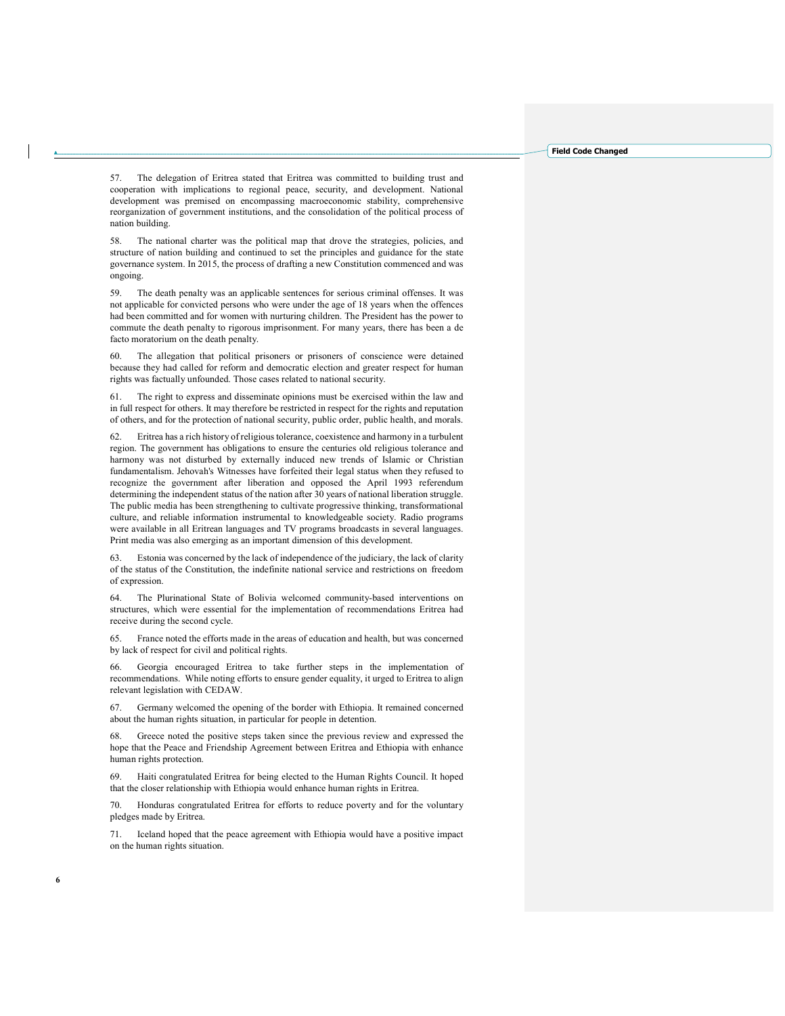57. The delegation of Eritrea stated that Eritrea was committed to building trust and cooperation with implications to regional peace, security, and development. National development was premised on encompassing macroeconomic stability, comprehensive reorganization of government institutions, and the consolidation of the political process of nation building.

58. The national charter was the political map that drove the strategies, policies, and structure of nation building and continued to set the principles and guidance for the state governance system. In 2015, the process of drafting a new Constitution commenced and was ongoing.

59. The death penalty was an applicable sentences for serious criminal offenses. It was not applicable for convicted persons who were under the age of 18 years when the offences had been committed and for women with nurturing children. The President has the power to commute the death penalty to rigorous imprisonment. For many years, there has been a de facto moratorium on the death penalty.

60. The allegation that political prisoners or prisoners of conscience were detained because they had called for reform and democratic election and greater respect for human rights was factually unfounded. Those cases related to national security.

61. The right to express and disseminate opinions must be exercised within the law and in full respect for others. It may therefore be restricted in respect for the rights and reputation of others, and for the protection of national security, public order, public health, and morals.

62. Eritrea has a rich history of religious tolerance, coexistence and harmony in a turbulent region. The government has obligations to ensure the centuries old religious tolerance and harmony was not disturbed by externally induced new trends of Islamic or Christian fundamentalism. Jehovah's Witnesses have forfeited their legal status when they refused to recognize the government after liberation and opposed the April 1993 referendum determining the independent status of the nation after 30 years of national liberation struggle. The public media has been strengthening to cultivate progressive thinking, transformational culture, and reliable information instrumental to knowledgeable society. Radio programs were available in all Eritrean languages and TV programs broadcasts in several languages. Print media was also emerging as an important dimension of this development.

63. Estonia was concerned by the lack of independence of the judiciary, the lack of clarity of the status of the Constitution, the indefinite national service and restrictions on freedom of expression.

64. The Plurinational State of Bolivia welcomed community-based interventions on structures, which were essential for the implementation of recommendations Eritrea had receive during the second cycle.

65. France noted the efforts made in the areas of education and health, but was concerned by lack of respect for civil and political rights.

66. Georgia encouraged Eritrea to take further steps in the implementation of recommendations. While noting efforts to ensure gender equality, it urged to Eritrea to align relevant legislation with CEDAW.

67. Germany welcomed the opening of the border with Ethiopia. It remained concerned about the human rights situation, in particular for people in detention.

68. Greece noted the positive steps taken since the previous review and expressed the hope that the Peace and Friendship Agreement between Eritrea and Ethiopia with enhance human rights protection.

69. Haiti congratulated Eritrea for being elected to the Human Rights Council. It hoped that the closer relationship with Ethiopia would enhance human rights in Eritrea.

70. Honduras congratulated Eritrea for efforts to reduce poverty and for the voluntary pledges made by Eritrea.

71. Iceland hoped that the peace agreement with Ethiopia would have a positive impact on the human rights situation.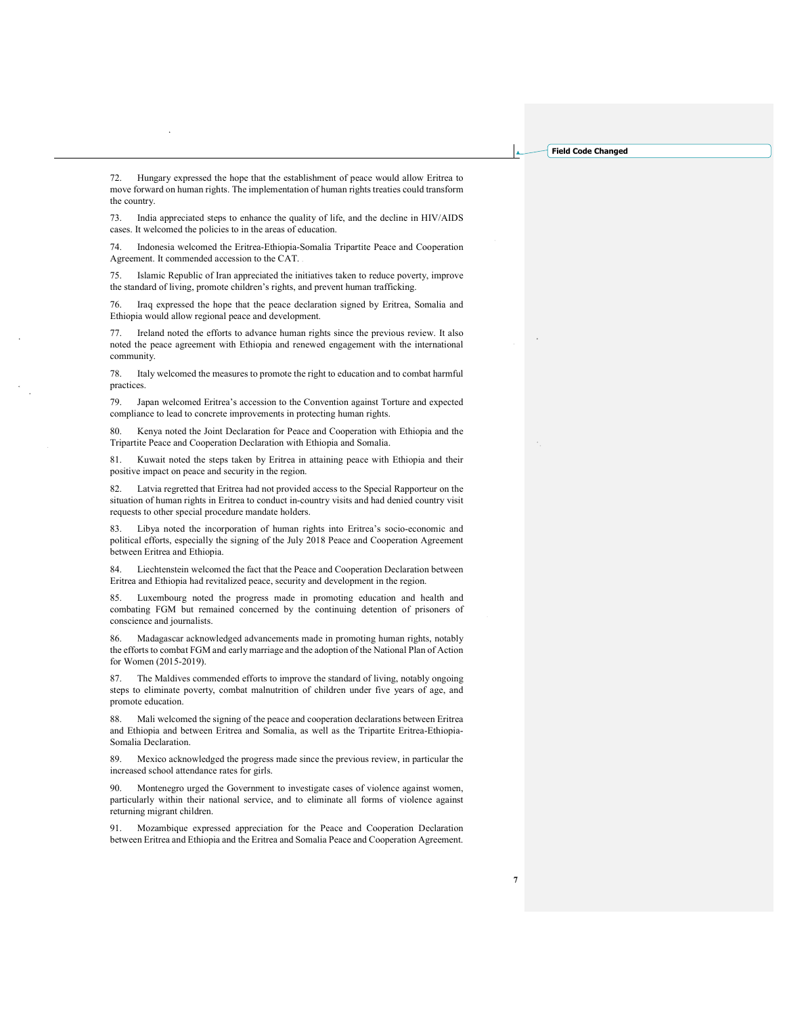72. Hungary expressed the hope that the establishment of peace would allow Eritrea to move forward on human rights. The implementation of human rights treaties could transform the country.

73. India appreciated steps to enhance the quality of life, and the decline in HIV/AIDS cases. It welcomed the policies to in the areas of education.

74. Indonesia welcomed the Eritrea-Ethiopia-Somalia Tripartite Peace and Cooperation Agreement. It commended accession to the CAT.

75. Islamic Republic of Iran appreciated the initiatives taken to reduce poverty, improve the standard of living, promote children's rights, and prevent human trafficking.

76. Iraq expressed the hope that the peace declaration signed by Eritrea, Somalia and Ethiopia would allow regional peace and development.

77. Ireland noted the efforts to advance human rights since the previous review. It also noted the peace agreement with Ethiopia and renewed engagement with the international community.

78. Italy welcomed the measures to promote the right to education and to combat harmful practices

79. Japan welcomed Eritrea's accession to the Convention against Torture and expected compliance to lead to concrete improvements in protecting human rights.

80. Kenya noted the Joint Declaration for Peace and Cooperation with Ethiopia and the Tripartite Peace and Cooperation Declaration with Ethiopia and Somalia.

81. Kuwait noted the steps taken by Eritrea in attaining peace with Ethiopia and their positive impact on peace and security in the region.

82. Latvia regretted that Eritrea had not provided access to the Special Rapporteur on the situation of human rights in Eritrea to conduct in-country visits and had denied country visit requests to other special procedure mandate holders.

83. Libya noted the incorporation of human rights into Eritrea's socio-economic and political efforts, especially the signing of the July 2018 Peace and Cooperation Agreement between Eritrea and Ethiopia.

84. Liechtenstein welcomed the fact that the Peace and Cooperation Declaration between Eritrea and Ethiopia had revitalized peace, security and development in the region.

85. Luxembourg noted the progress made in promoting education and health and combating FGM but remained concerned by the continuing detention of prisoners of conscience and journalists.

86. Madagascar acknowledged advancements made in promoting human rights, notably the efforts to combat FGM and early marriage and the adoption of the National Plan of Action for Women (2015-2019).

87. The Maldives commended efforts to improve the standard of living, notably ongoing steps to eliminate poverty, combat malnutrition of children under five years of age, and promote education.

88. Mali welcomed the signing of the peace and cooperation declarations between Eritrea and Ethiopia and between Eritrea and Somalia, as well as the Tripartite Eritrea-Ethiopia-Somalia Declaration.

89. Mexico acknowledged the progress made since the previous review, in particular the increased school attendance rates for girls.

90. Montenegro urged the Government to investigate cases of violence against women, particularly within their national service, and to eliminate all forms of violence against returning migrant children.

91. Mozambique expressed appreciation for the Peace and Cooperation Declaration between Eritrea and Ethiopia and the Eritrea and Somalia Peace and Cooperation Agreement.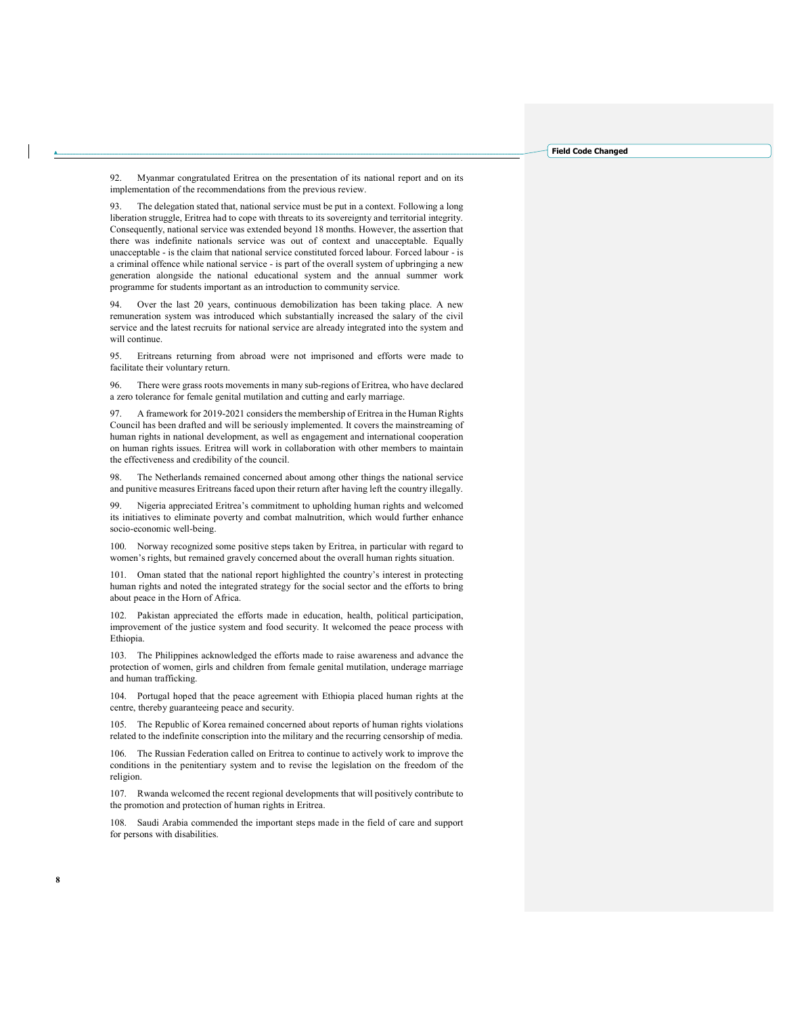92. Myanmar congratulated Eritrea on the presentation of its national report and on its implementation of the recommendations from the previous review.

93. The delegation stated that, national service must be put in a context. Following a long liberation struggle, Eritrea had to cope with threats to its sovereignty and territorial integrity. Consequently, national service was extended beyond 18 months. However, the assertion that there was indefinite nationals service was out of context and unacceptable. Equally unacceptable - is the claim that national service constituted forced labour. Forced labour - is a criminal offence while national service - is part of the overall system of upbringing a new generation alongside the national educational system and the annual summer work programme for students important as an introduction to community service.

Over the last 20 years, continuous demobilization has been taking place. A new remuneration system was introduced which substantially increased the salary of the civil service and the latest recruits for national service are already integrated into the system and will continue.

95. Eritreans returning from abroad were not imprisoned and efforts were made to facilitate their voluntary return.

96. There were grass roots movements in many sub-regions of Eritrea, who have declared a zero tolerance for female genital mutilation and cutting and early marriage.

97. A framework for 2019-2021 considers the membership of Eritrea in the Human Rights Council has been drafted and will be seriously implemented. It covers the mainstreaming of human rights in national development, as well as engagement and international cooperation on human rights issues. Eritrea will work in collaboration with other members to maintain the effectiveness and credibility of the council.

98. The Netherlands remained concerned about among other things the national service and punitive measures Eritreans faced upon their return after having left the country illegally.

99. Nigeria appreciated Eritrea's commitment to upholding human rights and welcomed its initiatives to eliminate poverty and combat malnutrition, which would further enhance socio-economic well-being.

100. Norway recognized some positive steps taken by Eritrea, in particular with regard to women's rights, but remained gravely concerned about the overall human rights situation.

101. Oman stated that the national report highlighted the country's interest in protecting human rights and noted the integrated strategy for the social sector and the efforts to bring about peace in the Horn of Africa.

102. Pakistan appreciated the efforts made in education, health, political participation, improvement of the justice system and food security. It welcomed the peace process with Ethiopia.

103. The Philippines acknowledged the efforts made to raise awareness and advance the protection of women, girls and children from female genital mutilation, underage marriage and human trafficking.

104. Portugal hoped that the peace agreement with Ethiopia placed human rights at the centre, thereby guaranteeing peace and security.

105. The Republic of Korea remained concerned about reports of human rights violations related to the indefinite conscription into the military and the recurring censorship of media.

106. The Russian Federation called on Eritrea to continue to actively work to improve the conditions in the penitentiary system and to revise the legislation on the freedom of the religion.

107. Rwanda welcomed the recent regional developments that will positively contribute to the promotion and protection of human rights in Eritrea.

108. Saudi Arabia commended the important steps made in the field of care and support for persons with disabilities.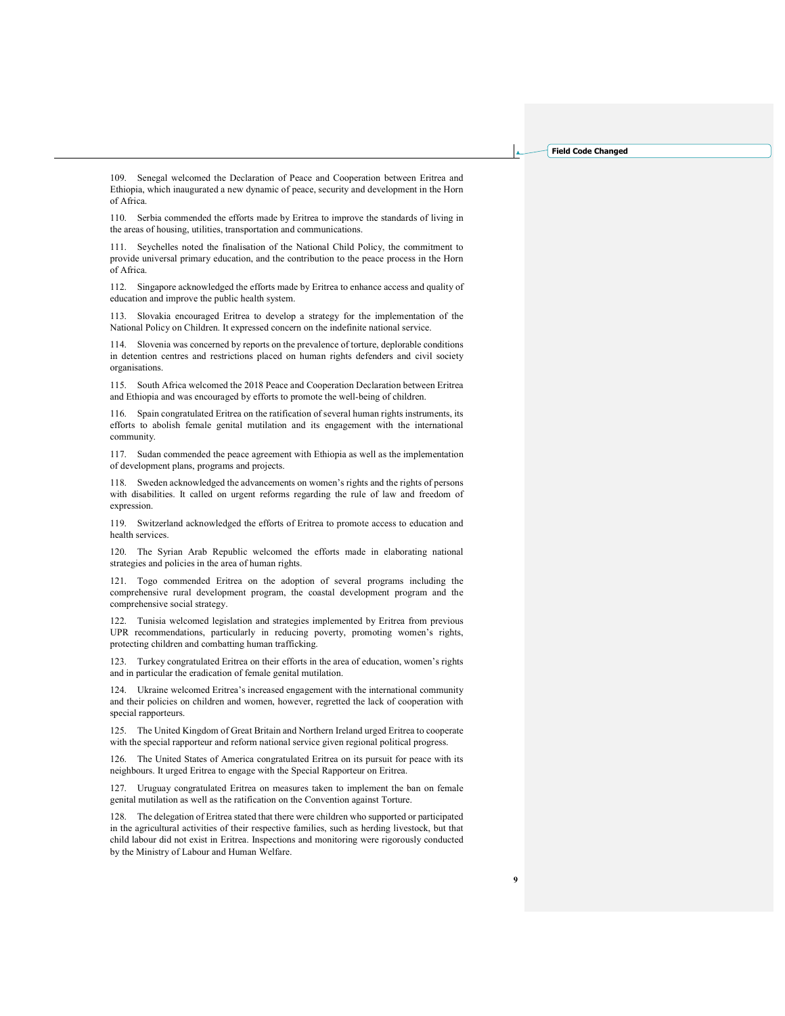109. Senegal welcomed the Declaration of Peace and Cooperation between Eritrea and Ethiopia, which inaugurated a new dynamic of peace, security and development in the Horn of Africa.

110. Serbia commended the efforts made by Eritrea to improve the standards of living in the areas of housing, utilities, transportation and communications.

111. Seychelles noted the finalisation of the National Child Policy, the commitment to provide universal primary education, and the contribution to the peace process in the Horn of Africa.

112. Singapore acknowledged the efforts made by Eritrea to enhance access and quality of education and improve the public health system.

113. Slovakia encouraged Eritrea to develop a strategy for the implementation of the National Policy on Children. It expressed concern on the indefinite national service.

114. Slovenia was concerned by reports on the prevalence of torture, deplorable conditions in detention centres and restrictions placed on human rights defenders and civil society organisations.

115. South Africa welcomed the 2018 Peace and Cooperation Declaration between Eritrea and Ethiopia and was encouraged by efforts to promote the well-being of children.

116. Spain congratulated Eritrea on the ratification of several human rights instruments, its efforts to abolish female genital mutilation and its engagement with the international community.

117. Sudan commended the peace agreement with Ethiopia as well as the implementation of development plans, programs and projects.

118. Sweden acknowledged the advancements on women's rights and the rights of persons with disabilities. It called on urgent reforms regarding the rule of law and freedom of expression.

119. Switzerland acknowledged the efforts of Eritrea to promote access to education and health services.

120. The Syrian Arab Republic welcomed the efforts made in elaborating national strategies and policies in the area of human rights.

121. Togo commended Eritrea on the adoption of several programs including the comprehensive rural development program, the coastal development program and the comprehensive social strategy.

122. Tunisia welcomed legislation and strategies implemented by Eritrea from previous UPR recommendations, particularly in reducing poverty, promoting women's rights, protecting children and combatting human trafficking.

123. Turkey congratulated Eritrea on their efforts in the area of education, women's rights and in particular the eradication of female genital mutilation.

124. Ukraine welcomed Eritrea's increased engagement with the international community and their policies on children and women, however, regretted the lack of cooperation with special rapporteurs.

125. The United Kingdom of Great Britain and Northern Ireland urged Eritrea to cooperate with the special rapporteur and reform national service given regional political progress.

126. The United States of America congratulated Eritrea on its pursuit for peace with its neighbours. It urged Eritrea to engage with the Special Rapporteur on Eritrea.

127. Uruguay congratulated Eritrea on measures taken to implement the ban on female genital mutilation as well as the ratification on the Convention against Torture.

128. The delegation of Eritrea stated that there were children who supported or participated in the agricultural activities of their respective families, such as herding livestock, but that child labour did not exist in Eritrea. Inspections and monitoring were rigorously conducted by the Ministry of Labour and Human Welfare.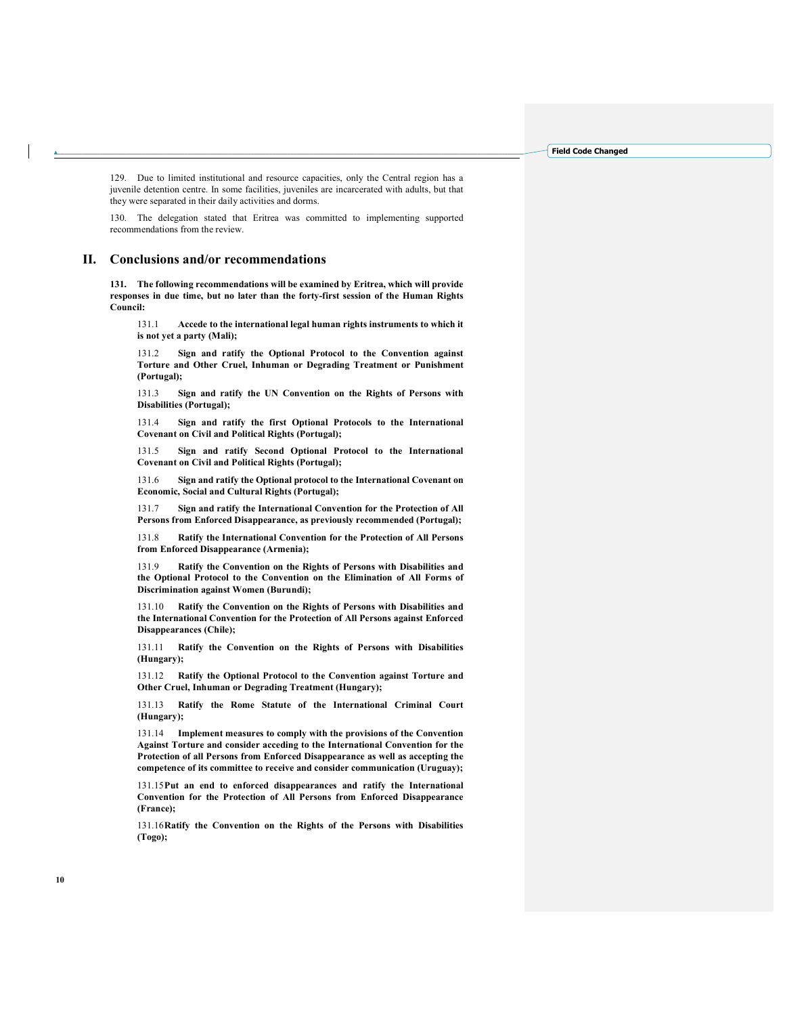129. Due to limited institutional and resource capacities, only the Central region has a juvenile detention centre. In some facilities, juveniles are incarcerated with adults, but that they were separated in their daily activities and dorms.

130. The delegation stated that Eritrea was committed to implementing supported recommendations from the review.

## II. Conclusions and/or recommendations

131. The following recommendations will be examined by Eritrea, which will provide responses in due time, but no later than the forty-first session of the Human Rights Council:

131.1 Accede to the international legal human rights instruments to which it is not yet a party (Mali);

131.2 Sign and ratify the Optional Protocol to the Convention against Torture and Other Cruel, Inhuman or Degrading Treatment or Punishment (Portugal);

131.3 Sign and ratify the UN Convention on the Rights of Persons with Disabilities (Portugal);

131.4 Sign and ratify the first Optional Protocols to the International Covenant on Civil and Political Rights (Portugal);

131.5 Sign and ratify Second Optional Protocol to the International Covenant on Civil and Political Rights (Portugal);

131.6 Sign and ratify the Optional protocol to the International Covenant on Economic, Social and Cultural Rights (Portugal);

131.7 Sign and ratify the International Convention for the Protection of All Persons from Enforced Disappearance, as previously recommended (Portugal);

131.8 Ratify the International Convention for the Protection of All Persons from Enforced Disappearance (Armenia);

131.9 Ratify the Convention on the Rights of Persons with Disabilities and the Optional Protocol to the Convention on the Elimination of All Forms of Discrimination against Women (Burundi);

131.10 Ratify the Convention on the Rights of Persons with Disabilities and the International Convention for the Protection of All Persons against Enforced Disappearances (Chile);

131.11 Ratify the Convention on the Rights of Persons with Disabilities (Hungary);

131.12 Ratify the Optional Protocol to the Convention against Torture and Other Cruel, Inhuman or Degrading Treatment (Hungary);

131.13 Ratify the Rome Statute of the International Criminal Court (Hungary);

131.14 Implement measures to comply with the provisions of the Convention Against Torture and consider acceding to the International Convention for the Protection of all Persons from Enforced Disappearance as well as accepting the competence of its committee to receive and consider communication (Uruguay);

131.15 Put an end to enforced disappearances and ratify the International Convention for the Protection of All Persons from Enforced Disappearance (France);

131.16 Ratify the Convention on the Rights of the Persons with Disabilities (Togo);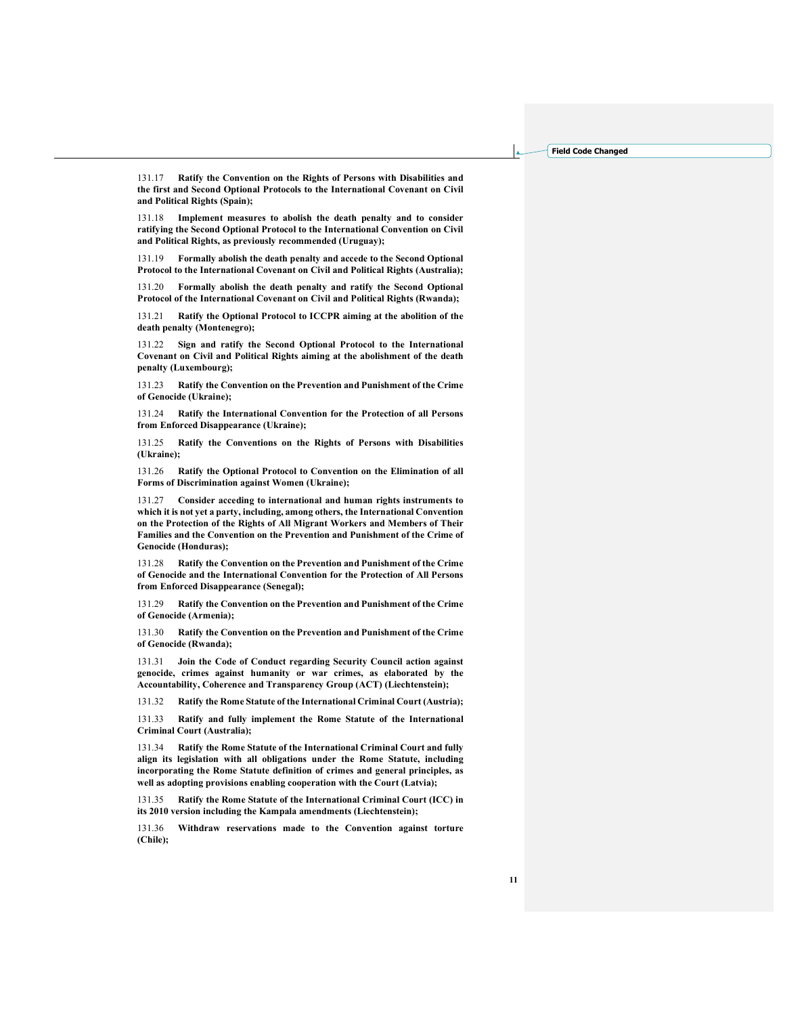131.17 Ratify the Convention on the Rights of Persons with Disabilities and the first and Second Optional Protocols to the International Covenant on Civil and Political Rights (Spain);

131.18 Implement measures to abolish the death penalty and to consider ratifying the Second Optional Protocol to the International Convention on Civil and Political Rights, as previously recommended (Uruguay);

131.19 Formally abolish the death penalty and accede to the Second Optional Protocol to the International Covenant on Civil and Political Rights (Australia);

131.20 Formally abolish the death penalty and ratify the Second Optional Protocol of the International Covenant on Civil and Political Rights (Rwanda);

131.21 Ratify the Optional Protocol to ICCPR aiming at the abolition of the death penalty (Montenegro);

Sign and ratify the Second Optional Protocol to the International Covenant on Civil and Political Rights aiming at the abolishment of the death penalty (Luxembourg);

131.23 Ratify the Convention on the Prevention and Punishment of the Crime of Genocide (Ukraine);

131.24 Ratify the International Convention for the Protection of all Persons from Enforced Disappearance (Ukraine);

131.25 Ratify the Conventions on the Rights of Persons with Disabilities (Ukraine);

131.26 Ratify the Optional Protocol to Convention on the Elimination of all Forms of Discrimination against Women (Ukraine);

131.27 Consider acceding to international and human rights instruments to which it is not yet a party, including, among others, the International Convention on the Protection of the Rights of All Migrant Workers and Members of Their Families and the Convention on the Prevention and Punishment of the Crime of Genocide (Honduras);

131.28 Ratify the Convention on the Prevention and Punishment of the Crime of Genocide and the International Convention for the Protection of All Persons from Enforced Disappearance (Senegal);

131.29 Ratify the Convention on the Prevention and Punishment of the Crime of Genocide (Armenia);

131.30 Ratify the Convention on the Prevention and Punishment of the Crime of Genocide (Rwanda);

131.31 Join the Code of Conduct regarding Security Council action against genocide, crimes against humanity or war crimes, as elaborated by the Accountability, Coherence and Transparency Group (ACT) (Liechtenstein);

131.32 Ratify the Rome Statute of the International Criminal Court (Austria);

131.33 Ratify and fully implement the Rome Statute of the International Criminal Court (Australia);

131.34 Ratify the Rome Statute of the International Criminal Court and fully align its legislation with all obligations under the Rome Statute, including incorporating the Rome Statute definition of crimes and general principles, as well as adopting provisions enabling cooperation with the Court (Latvia);

131.35 Ratify the Rome Statute of the International Criminal Court (ICC) in its 2010 version including the Kampala amendments (Liechtenstein);

131.36 Withdraw reservations made to the Convention against torture (Chile);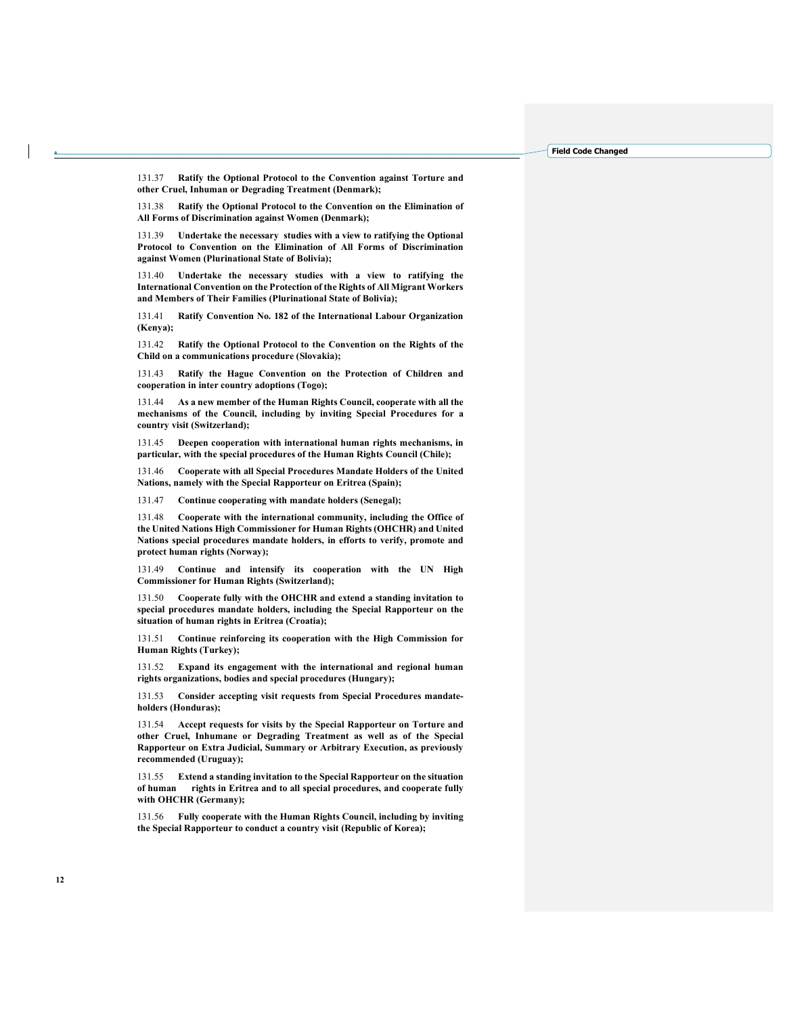131.37 Ratify the Optional Protocol to the Convention against Torture and other Cruel, Inhuman or Degrading Treatment (Denmark);

131.38 Ratify the Optional Protocol to the Convention on the Elimination of All Forms of Discrimination against Women (Denmark);

131.39 Undertake the necessary studies with a view to ratifying the Optional Protocol to Convention on the Elimination of All Forms of Discrimination against Women (Plurinational State of Bolivia);

131.40 Undertake the necessary studies with a view to ratifying the International Convention on the Protection of the Rights of All Migrant Workers and Members of Their Families (Plurinational State of Bolivia);

131.41 Ratify Convention No. 182 of the International Labour Organization (Kenya);

131.42 Ratify the Optional Protocol to the Convention on the Rights of the Child on a communications procedure (Slovakia);

131.43 Ratify the Hague Convention on the Protection of Children and cooperation in inter country adoptions (Togo);

131.44 As a new member of the Human Rights Council, cooperate with all the mechanisms of the Council, including by inviting Special Procedures for a country visit (Switzerland);

131.45 Deepen cooperation with international human rights mechanisms, in particular, with the special procedures of the Human Rights Council (Chile);

131.46 Cooperate with all Special Procedures Mandate Holders of the United Nations, namely with the Special Rapporteur on Eritrea (Spain);

131.47 Continue cooperating with mandate holders (Senegal);

131.48 Cooperate with the international community, including the Office of the United Nations High Commissioner for Human Rights (OHCHR) and United Nations special procedures mandate holders, in efforts to verify, promote and protect human rights (Norway);

131.49 Continue and intensify its cooperation with the UN High Commissioner for Human Rights (Switzerland);

131.50 Cooperate fully with the OHCHR and extend a standing invitation to special procedures mandate holders, including the Special Rapporteur on the situation of human rights in Eritrea (Croatia);

131.51 Continue reinforcing its cooperation with the High Commission for Human Rights (Turkey);

131.52 Expand its engagement with the international and regional human rights organizations, bodies and special procedures (Hungary);

131.53 Consider accepting visit requests from Special Procedures mandateholders (Honduras);

131.54 Accept requests for visits by the Special Rapporteur on Torture and other Cruel, Inhumane or Degrading Treatment as well as of the Special Rapporteur on Extra Judicial, Summary or Arbitrary Execution, as previously recommended (Uruguay);

131.55 Extend a standing invitation to the Special Rapporteur on the situation of human rights in Eritrea and to all special procedures, and cooperate fully with OHCHR (Germany);

131.56 Fully cooperate with the Human Rights Council, including by inviting the Special Rapporteur to conduct a country visit (Republic of Korea);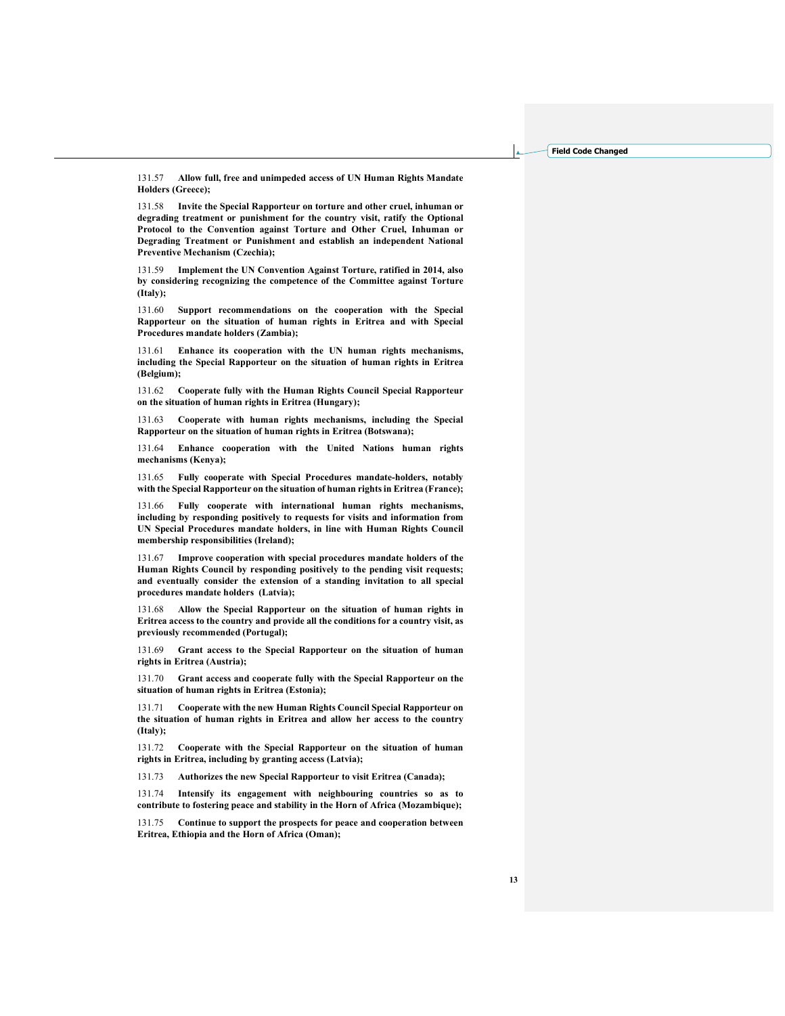131.57 Allow full, free and unimpeded access of UN Human Rights Mandate Holders (Greece);

131.58 Invite the Special Rapporteur on torture and other cruel, inhuman or degrading treatment or punishment for the country visit, ratify the Optional Protocol to the Convention against Torture and Other Cruel, Inhuman or Degrading Treatment or Punishment and establish an independent National Preventive Mechanism (Czechia);

131.59 Implement the UN Convention Against Torture, ratified in 2014, also by considering recognizing the competence of the Committee against Torture (Italy);

131.60 Support recommendations on the cooperation with the Special Rapporteur on the situation of human rights in Eritrea and with Special Procedures mandate holders (Zambia);

131.61 Enhance its cooperation with the UN human rights mechanisms, including the Special Rapporteur on the situation of human rights in Eritrea (Belgium);

131.62 Cooperate fully with the Human Rights Council Special Rapporteur on the situation of human rights in Eritrea (Hungary);

131.63 Cooperate with human rights mechanisms, including the Special Rapporteur on the situation of human rights in Eritrea (Botswana);

131.64 Enhance cooperation with the United Nations human rights mechanisms (Kenya);

131.65 Fully cooperate with Special Procedures mandate-holders, notably with the Special Rapporteur on the situation of human rights in Eritrea (France);

131.66 Fully cooperate with international human rights mechanisms, including by responding positively to requests for visits and information from UN Special Procedures mandate holders, in line with Human Rights Council membership responsibilities (Ireland);

131.67 Improve cooperation with special procedures mandate holders of the Human Rights Council by responding positively to the pending visit requests; and eventually consider the extension of a standing invitation to all special procedures mandate holders (Latvia);

131.68 Allow the Special Rapporteur on the situation of human rights in Eritrea access to the country and provide all the conditions for a country visit, as previously recommended (Portugal);

131.69 Grant access to the Special Rapporteur on the situation of human rights in Eritrea (Austria);

131.70 Grant access and cooperate fully with the Special Rapporteur on the situation of human rights in Eritrea (Estonia);

131.71 Cooperate with the new Human Rights Council Special Rapporteur on the situation of human rights in Eritrea and allow her access to the country (Italy);

131.72 Cooperate with the Special Rapporteur on the situation of human rights in Eritrea, including by granting access (Latvia);

131.73 Authorizes the new Special Rapporteur to visit Eritrea (Canada);

131.74 Intensify its engagement with neighbouring countries so as to contribute to fostering peace and stability in the Horn of Africa (Mozambique);

131.75 Continue to support the prospects for peace and cooperation between Eritrea, Ethiopia and the Horn of Africa (Oman);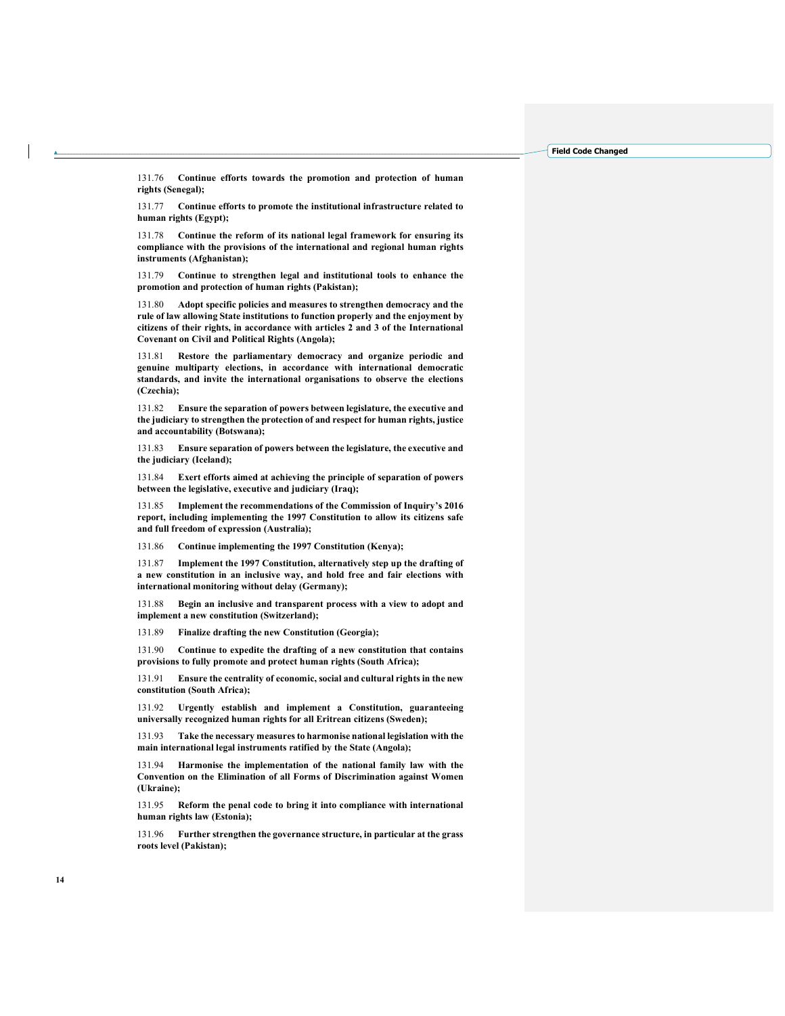131.76 Continue efforts towards the promotion and protection of human rights (Senegal);

131.77 Continue efforts to promote the institutional infrastructure related to human rights (Egypt);

131.78 Continue the reform of its national legal framework for ensuring its compliance with the provisions of the international and regional human rights instruments (Afghanistan);

131.79 Continue to strengthen legal and institutional tools to enhance the promotion and protection of human rights (Pakistan);

Adopt specific policies and measures to strengthen democracy and the rule of law allowing State institutions to function properly and the enjoyment by citizens of their rights, in accordance with articles 2 and 3 of the International Covenant on Civil and Political Rights (Angola);

131.81 Restore the parliamentary democracy and organize periodic and genuine multiparty elections, in accordance with international democratic standards, and invite the international organisations to observe the elections (Czechia);

131.82 Ensure the separation of powers between legislature, the executive and the judiciary to strengthen the protection of and respect for human rights, justice and accountability (Botswana);

131.83 Ensure separation of powers between the legislature, the executive and the judiciary (Iceland);

131.84 Exert efforts aimed at achieving the principle of separation of powers between the legislative, executive and judiciary (Iraq);

131.85 Implement the recommendations of the Commission of Inquiry's 2016 report, including implementing the 1997 Constitution to allow its citizens safe and full freedom of expression (Australia);

131.86 Continue implementing the 1997 Constitution (Kenya);

131.87 Implement the 1997 Constitution, alternatively step up the drafting of a new constitution in an inclusive way, and hold free and fair elections with international monitoring without delay (Germany);

131.88 Begin an inclusive and transparent process with a view to adopt and implement a new constitution (Switzerland);

131.89 Finalize drafting the new Constitution (Georgia);

131.90 Continue to expedite the drafting of a new constitution that contains provisions to fully promote and protect human rights (South Africa);

131.91 Ensure the centrality of economic, social and cultural rights in the new constitution (South Africa);

131.92 Urgently establish and implement a Constitution, guaranteeing universally recognized human rights for all Eritrean citizens (Sweden);

131.93 Take the necessary measures to harmonise national legislation with the main international legal instruments ratified by the State (Angola);

Harmonise the implementation of the national family law with the Convention on the Elimination of all Forms of Discrimination against Women (Ukraine);

131.95 Reform the penal code to bring it into compliance with international human rights law (Estonia);

131.96 Further strengthen the governance structure, in particular at the grass roots level (Pakistan);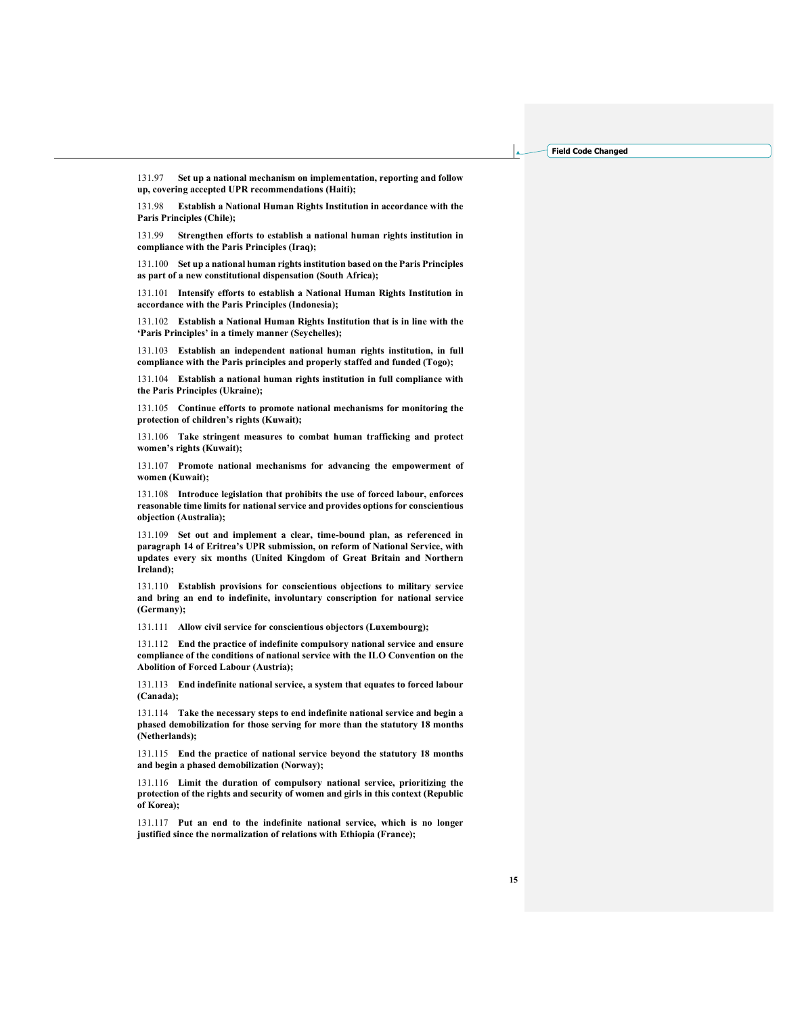131.97 Set up a national mechanism on implementation, reporting and follow up, covering accepted UPR recommendations (Haiti);

131.98 Establish a National Human Rights Institution in accordance with the Paris Principles (Chile);

131.99 Strengthen efforts to establish a national human rights institution in compliance with the Paris Principles (Iraq);

131.100 Set up a national human rights institution based on the Paris Principles as part of a new constitutional dispensation (South Africa);

131.101 Intensify efforts to establish a National Human Rights Institution in accordance with the Paris Principles (Indonesia);

131.102 Establish a National Human Rights Institution that is in line with the 'Paris Principles' in a timely manner (Seychelles);

131.103 Establish an independent national human rights institution, in full compliance with the Paris principles and properly staffed and funded (Togo);

131.104 Establish a national human rights institution in full compliance with the Paris Principles (Ukraine);

131.105 Continue efforts to promote national mechanisms for monitoring the protection of children's rights (Kuwait);

131.106 Take stringent measures to combat human trafficking and protect women's rights (Kuwait);

131.107 Promote national mechanisms for advancing the empowerment of women (Kuwait);

131.108 Introduce legislation that prohibits the use of forced labour, enforces reasonable time limits for national service and provides options for conscientious objection (Australia);

131.109 Set out and implement a clear, time-bound plan, as referenced in paragraph 14 of Eritrea's UPR submission, on reform of National Service, with updates every six months (United Kingdom of Great Britain and Northern Ireland);

131.110 Establish provisions for conscientious objections to military service and bring an end to indefinite, involuntary conscription for national service (Germany);

131.111 Allow civil service for conscientious objectors (Luxembourg);

131.112 End the practice of indefinite compulsory national service and ensure compliance of the conditions of national service with the ILO Convention on the Abolition of Forced Labour (Austria);

131.113 End indefinite national service, a system that equates to forced labour (Canada);

131.114 Take the necessary steps to end indefinite national service and begin a phased demobilization for those serving for more than the statutory 18 months (Netherlands);

131.115 End the practice of national service beyond the statutory 18 months and begin a phased demobilization (Norway);

131.116 Limit the duration of compulsory national service, prioritizing the protection of the rights and security of women and girls in this context (Republic of Korea);

131.117 Put an end to the indefinite national service, which is no longer justified since the normalization of relations with Ethiopia (France);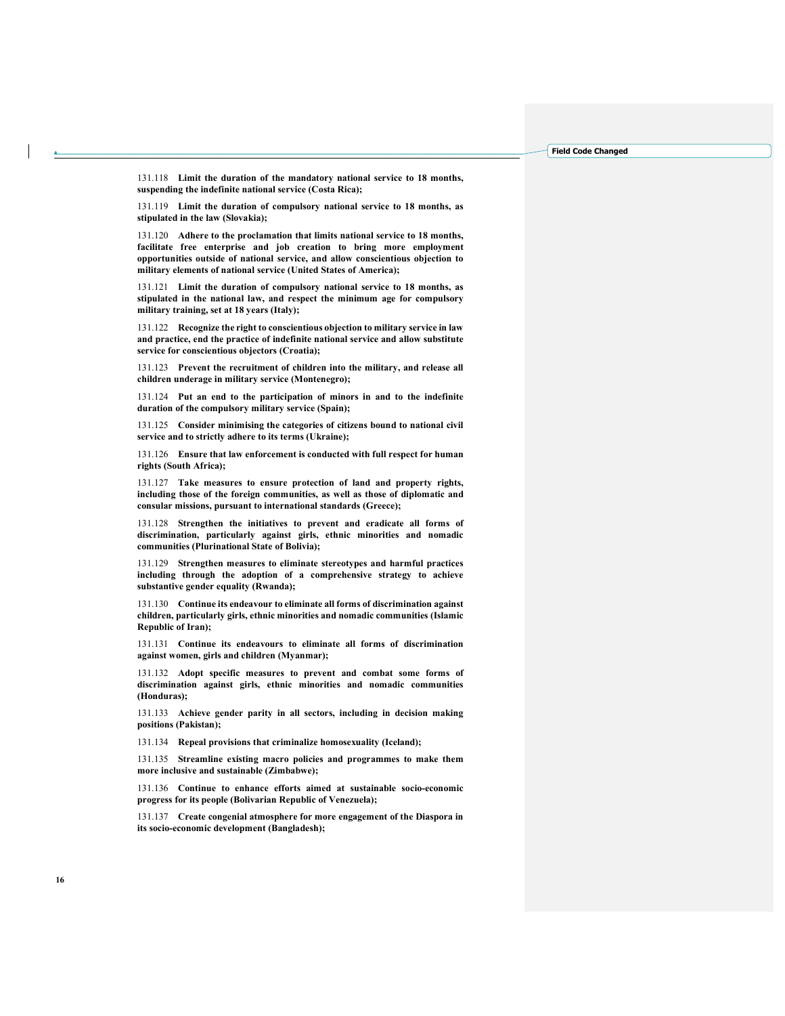131.118 Limit the duration of the mandatory national service to 18 months, suspending the indefinite national service (Costa Rica);

131.119 Limit the duration of compulsory national service to 18 months, as stipulated in the law (Slovakia);

131.120 Adhere to the proclamation that limits national service to 18 months, facilitate free enterprise and job creation to bring more employment opportunities outside of national service, and allow conscientious objection to military elements of national service (United States of America);

131.121 Limit the duration of compulsory national service to 18 months, as stipulated in the national law, and respect the minimum age for compulsory military training, set at 18 years (Italy);

131.122 Recognize the right to conscientious objection to military service in law and practice, end the practice of indefinite national service and allow substitute service for conscientious objectors (Croatia);

131.123 Prevent the recruitment of children into the military, and release all children underage in military service (Montenegro);

131.124 Put an end to the participation of minors in and to the indefinite duration of the compulsory military service (Spain);

131.125 Consider minimising the categories of citizens bound to national civil service and to strictly adhere to its terms (Ukraine);

131.126 Ensure that law enforcement is conducted with full respect for human rights (South Africa);

131.127 Take measures to ensure protection of land and property rights, including those of the foreign communities, as well as those of diplomatic and consular missions, pursuant to international standards (Greece);

131.128 Strengthen the initiatives to prevent and eradicate all forms of discrimination, particularly against girls, ethnic minorities and nomadic communities (Plurinational State of Bolivia);

131.129 Strengthen measures to eliminate stereotypes and harmful practices including through the adoption of a comprehensive strategy to achieve substantive gender equality (Rwanda);

131.130 Continue its endeavour to eliminate all forms of discrimination against children, particularly girls, ethnic minorities and nomadic communities (Islamic Republic of Iran);

131.131 Continue its endeavours to eliminate all forms of discrimination against women, girls and children (Myanmar);

131.132 Adopt specific measures to prevent and combat some forms of discrimination against girls, ethnic minorities and nomadic communities (Honduras);

131.133 Achieve gender parity in all sectors, including in decision making positions (Pakistan);

131.134 Repeal provisions that criminalize homosexuality (Iceland);

131.135 Streamline existing macro policies and programmes to make them more inclusive and sustainable (Zimbabwe);

131.136 Continue to enhance efforts aimed at sustainable socio-economic progress for its people (Bolivarian Republic of Venezuela);

131.137 Create congenial atmosphere for more engagement of the Diaspora in its socio-economic development (Bangladesh);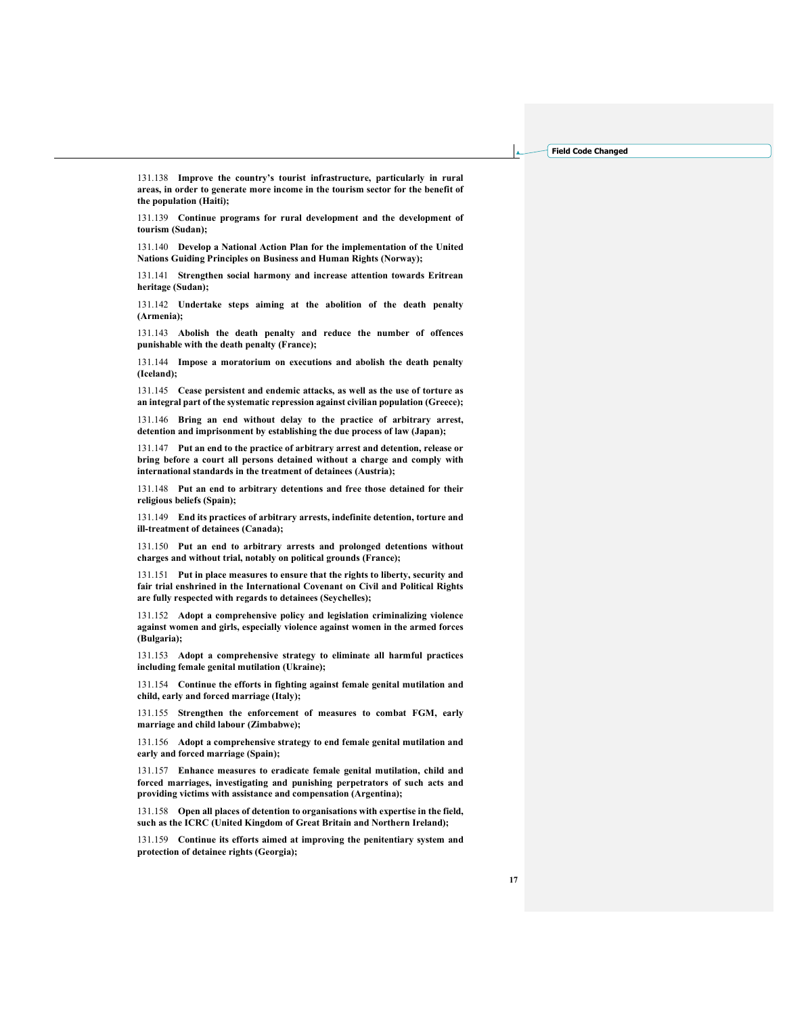131.138 Improve the country's tourist infrastructure, particularly in rural areas, in order to generate more income in the tourism sector for the benefit of the population (Haiti);

131.139 Continue programs for rural development and the development of tourism (Sudan);

131.140 Develop a National Action Plan for the implementation of the United Nations Guiding Principles on Business and Human Rights (Norway);

131.141 Strengthen social harmony and increase attention towards Eritrean heritage (Sudan);

131.142 Undertake steps aiming at the abolition of the death penalty (Armenia);

131.143 Abolish the death penalty and reduce the number of offences punishable with the death penalty (France);

131.144 Impose a moratorium on executions and abolish the death penalty (Iceland);

131.145 Cease persistent and endemic attacks, as well as the use of torture as an integral part of the systematic repression against civilian population (Greece);

131.146 Bring an end without delay to the practice of arbitrary arrest, detention and imprisonment by establishing the due process of law (Japan);

131.147 Put an end to the practice of arbitrary arrest and detention, release or bring before a court all persons detained without a charge and comply with international standards in the treatment of detainees (Austria);

131.148 Put an end to arbitrary detentions and free those detained for their religious beliefs (Spain);

131.149 End its practices of arbitrary arrests, indefinite detention, torture and ill-treatment of detainees (Canada);

131.150 Put an end to arbitrary arrests and prolonged detentions without charges and without trial, notably on political grounds (France);

131.151 Put in place measures to ensure that the rights to liberty, security and fair trial enshrined in the International Covenant on Civil and Political Rights are fully respected with regards to detainees (Seychelles);

131.152 Adopt a comprehensive policy and legislation criminalizing violence against women and girls, especially violence against women in the armed forces (Bulgaria);

131.153 Adopt a comprehensive strategy to eliminate all harmful practices including female genital mutilation (Ukraine);

131.154 Continue the efforts in fighting against female genital mutilation and child, early and forced marriage (Italy);

131.155 Strengthen the enforcement of measures to combat FGM, early marriage and child labour (Zimbabwe);

131.156 Adopt a comprehensive strategy to end female genital mutilation and early and forced marriage (Spain);

131.157 Enhance measures to eradicate female genital mutilation, child and forced marriages, investigating and punishing perpetrators of such acts and providing victims with assistance and compensation (Argentina);

131.158 Open all places of detention to organisations with expertise in the field, such as the ICRC (United Kingdom of Great Britain and Northern Ireland);

131.159 Continue its efforts aimed at improving the penitentiary system and protection of detainee rights (Georgia);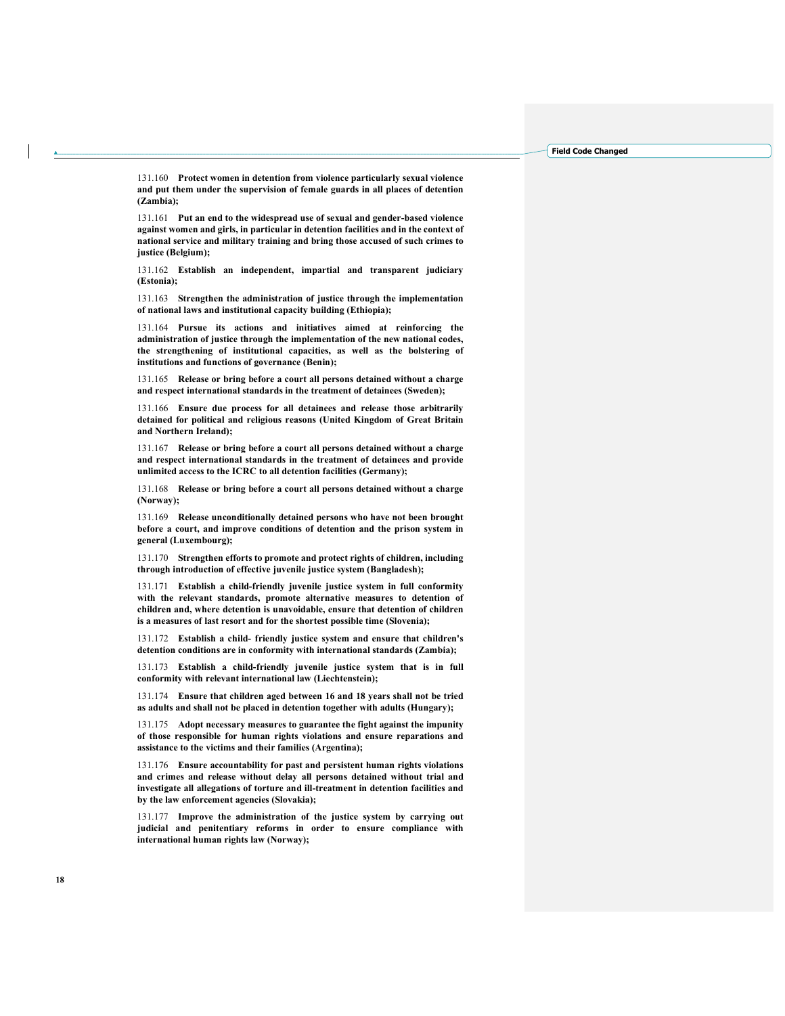131.160 Protect women in detention from violence particularly sexual violence and put them under the supervision of female guards in all places of detention (Zambia);

131.161 Put an end to the widespread use of sexual and gender-based violence against women and girls, in particular in detention facilities and in the context of national service and military training and bring those accused of such crimes to justice (Belgium);

131.162 Establish an independent, impartial and transparent judiciary (Estonia);

131.163 Strengthen the administration of justice through the implementation of national laws and institutional capacity building (Ethiopia);

131.164 Pursue its actions and initiatives aimed at reinforcing the administration of justice through the implementation of the new national codes, the strengthening of institutional capacities, as well as the bolstering of institutions and functions of governance (Benin);

131.165 Release or bring before a court all persons detained without a charge and respect international standards in the treatment of detainees (Sweden);

131.166 Ensure due process for all detainees and release those arbitrarily detained for political and religious reasons (United Kingdom of Great Britain and Northern Ireland);

131.167 Release or bring before a court all persons detained without a charge and respect international standards in the treatment of detainees and provide unlimited access to the ICRC to all detention facilities (Germany);

131.168 Release or bring before a court all persons detained without a charge (Norway);

131.169 Release unconditionally detained persons who have not been brought before a court, and improve conditions of detention and the prison system in general (Luxembourg);

131.170 Strengthen efforts to promote and protect rights of children, including through introduction of effective juvenile justice system (Bangladesh);

131.171 Establish a child-friendly juvenile justice system in full conformity with the relevant standards, promote alternative measures to detention of children and, where detention is unavoidable, ensure that detention of children is a measures of last resort and for the shortest possible time (Slovenia);

131.172 Establish a child- friendly justice system and ensure that children's detention conditions are in conformity with international standards (Zambia);

131.173 Establish a child-friendly juvenile justice system that is in full conformity with relevant international law (Liechtenstein);

131.174 Ensure that children aged between 16 and 18 years shall not be tried as adults and shall not be placed in detention together with adults (Hungary);

131.175 Adopt necessary measures to guarantee the fight against the impunity of those responsible for human rights violations and ensure reparations and assistance to the victims and their families (Argentina);

131.176 Ensure accountability for past and persistent human rights violations and crimes and release without delay all persons detained without trial and investigate all allegations of torture and ill-treatment in detention facilities and by the law enforcement agencies (Slovakia);

131.177 Improve the administration of the justice system by carrying out judicial and penitentiary reforms in order to ensure compliance with international human rights law (Norway);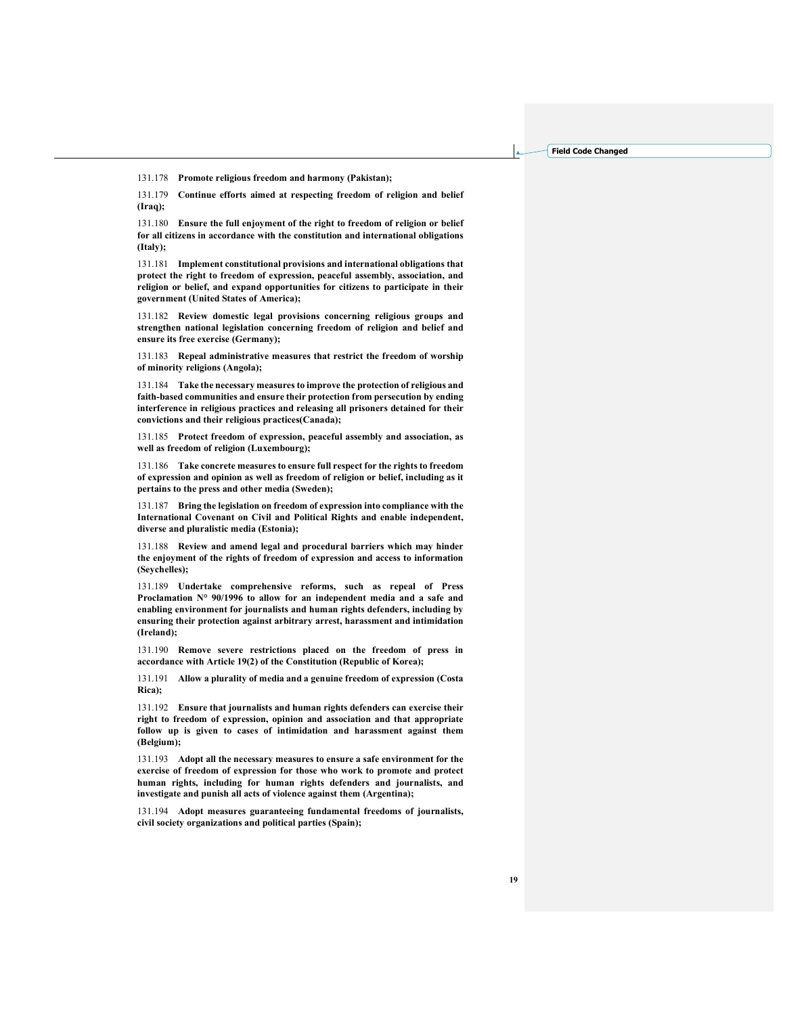131.178 Promote religious freedom and harmony (Pakistan);

131.179 Continue efforts aimed at respecting freedom of religion and belief (Iraq);

131.180 Ensure the full enjoyment of the right to freedom of religion or belief for all citizens in accordance with the constitution and international obligations (Italy);

131.181 Implement constitutional provisions and international obligations that protect the right to freedom of expression, peaceful assembly, association, and religion or belief, and expand opportunities for citizens to participate in their government (United States of America);

131.182 Review domestic legal provisions concerning religious groups and strengthen national legislation concerning freedom of religion and belief and ensure its free exercise (Germany);

131.183 Repeal administrative measures that restrict the freedom of worship of minority religions (Angola);

131.184 Take the necessary measures to improve the protection of religious and faith-based communities and ensure their protection from persecution by ending interference in religious practices and releasing all prisoners detained for their convictions and their religious practices(Canada);

131.185 Protect freedom of expression, peaceful assembly and association, as well as freedom of religion (Luxembourg);

131.186 Take concrete measures to ensure full respect for the rights to freedom of expression and opinion as well as freedom of religion or belief, including as it pertains to the press and other media (Sweden);

131.187 Bring the legislation on freedom of expression into compliance with the International Covenant on Civil and Political Rights and enable independent, diverse and pluralistic media (Estonia);

131.188 Review and amend legal and procedural barriers which may hinder the enjoyment of the rights of freedom of expression and access to information (Seychelles);

131.189 Undertake comprehensive reforms, such as repeal of Press Proclamation N° 90/1996 to allow for an independent media and a safe and enabling environment for journalists and human rights defenders, including by ensuring their protection against arbitrary arrest, harassment and intimidation (Ireland);

131.190 Remove severe restrictions placed on the freedom of press in accordance with Article 19(2) of the Constitution (Republic of Korea);

131.191 Allow a plurality of media and a genuine freedom of expression (Costa Rica);

131.192 Ensure that journalists and human rights defenders can exercise their right to freedom of expression, opinion and association and that appropriate follow up is given to cases of intimidation and harassment against them (Belgium);

131.193 Adopt all the necessary measures to ensure a safe environment for the exercise of freedom of expression for those who work to promote and protect human rights, including for human rights defenders and journalists, and investigate and punish all acts of violence against them (Argentina);

131.194 Adopt measures guaranteeing fundamental freedoms of journalists, civil society organizations and political parties (Spain);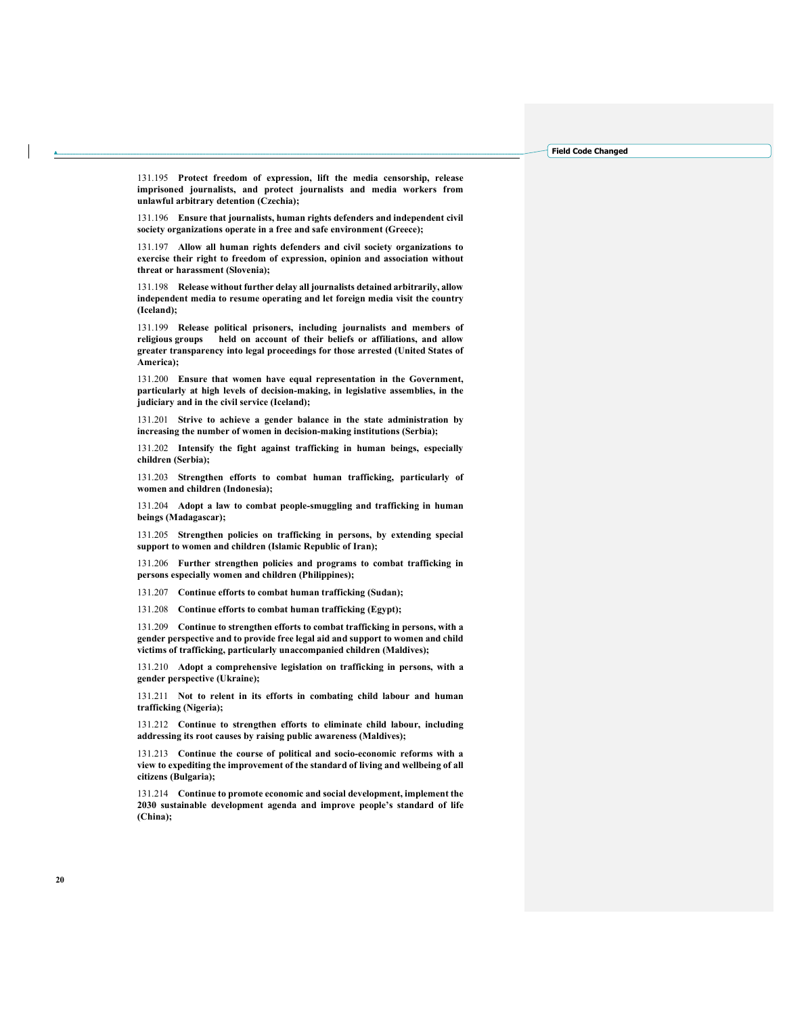131.195 Protect freedom of expression, lift the media censorship, release imprisoned journalists, and protect journalists and media workers from unlawful arbitrary detention (Czechia);

131.196 Ensure that journalists, human rights defenders and independent civil society organizations operate in a free and safe environment (Greece);

131.197 Allow all human rights defenders and civil society organizations to exercise their right to freedom of expression, opinion and association without threat or harassment (Slovenia);

131.198 Release without further delay all journalists detained arbitrarily, allow independent media to resume operating and let foreign media visit the country (Iceland);

131.199 Release political prisoners, including journalists and members of religious groups held on account of their beliefs or affiliations, and allow greater transparency into legal proceedings for those arrested (United States of America);

131.200 Ensure that women have equal representation in the Government, particularly at high levels of decision-making, in legislative assemblies, in the judiciary and in the civil service (Iceland);

131.201 Strive to achieve a gender balance in the state administration by increasing the number of women in decision-making institutions (Serbia);

131.202 Intensify the fight against trafficking in human beings, especially children (Serbia);

131.203 Strengthen efforts to combat human trafficking, particularly of women and children (Indonesia);

131.204 Adopt a law to combat people-smuggling and trafficking in human beings (Madagascar);

131.205 Strengthen policies on trafficking in persons, by extending special support to women and children (Islamic Republic of Iran);

131.206 Further strengthen policies and programs to combat trafficking in persons especially women and children (Philippines);

131.207 Continue efforts to combat human trafficking (Sudan);

131.208 Continue efforts to combat human trafficking (Egypt);

131.209 Continue to strengthen efforts to combat trafficking in persons, with a gender perspective and to provide free legal aid and support to women and child victims of trafficking, particularly unaccompanied children (Maldives);

131.210 Adopt a comprehensive legislation on trafficking in persons, with a gender perspective (Ukraine);

131.211 Not to relent in its efforts in combating child labour and human trafficking (Nigeria);

131.212 Continue to strengthen efforts to eliminate child labour, including addressing its root causes by raising public awareness (Maldives);

131.213 Continue the course of political and socio-economic reforms with a view to expediting the improvement of the standard of living and wellbeing of all citizens (Bulgaria);

131.214 Continue to promote economic and social development, implement the 2030 sustainable development agenda and improve people's standard of life (China);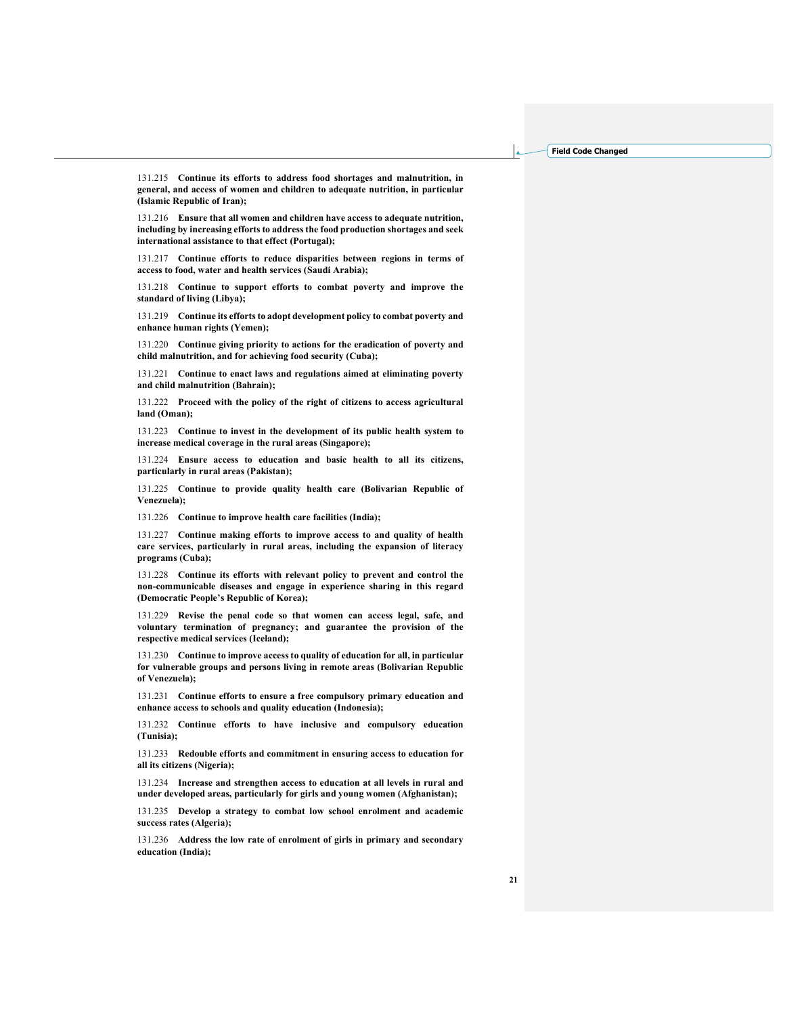131.215 Continue its efforts to address food shortages and malnutrition, in general, and access of women and children to adequate nutrition, in particular (Islamic Republic of Iran);

131.216 Ensure that all women and children have access to adequate nutrition, including by increasing efforts to address the food production shortages and seek international assistance to that effect (Portugal);

131.217 Continue efforts to reduce disparities between regions in terms of access to food, water and health services (Saudi Arabia);

131.218 Continue to support efforts to combat poverty and improve the standard of living (Libya);

131.219 Continue its efforts to adopt development policy to combat poverty and enhance human rights (Yemen);

131.220 Continue giving priority to actions for the eradication of poverty and child malnutrition, and for achieving food security (Cuba);

131.221 Continue to enact laws and regulations aimed at eliminating poverty and child malnutrition (Bahrain);

131.222 Proceed with the policy of the right of citizens to access agricultural land (Oman);

131.223 Continue to invest in the development of its public health system to increase medical coverage in the rural areas (Singapore);

131.224 Ensure access to education and basic health to all its citizens, particularly in rural areas (Pakistan);

131.225 Continue to provide quality health care (Bolivarian Republic of Venezuela);

131.226 Continue to improve health care facilities (India);

131.227 Continue making efforts to improve access to and quality of health care services, particularly in rural areas, including the expansion of literacy programs (Cuba);

131.228 Continue its efforts with relevant policy to prevent and control the non-communicable diseases and engage in experience sharing in this regard (Democratic People's Republic of Korea);

131.229 Revise the penal code so that women can access legal, safe, and voluntary termination of pregnancy; and guarantee the provision of the respective medical services (Iceland);

131.230 Continue to improve access to quality of education for all, in particular for vulnerable groups and persons living in remote areas (Bolivarian Republic of Venezuela);

131.231 Continue efforts to ensure a free compulsory primary education and enhance access to schools and quality education (Indonesia);

131.232 Continue efforts to have inclusive and compulsory education (Tunisia);

131.233 Redouble efforts and commitment in ensuring access to education for all its citizens (Nigeria);

131.234 Increase and strengthen access to education at all levels in rural and under developed areas, particularly for girls and young women (Afghanistan);

131.235 Develop a strategy to combat low school enrolment and academic success rates (Algeria);

131.236 Address the low rate of enrolment of girls in primary and secondary education (India);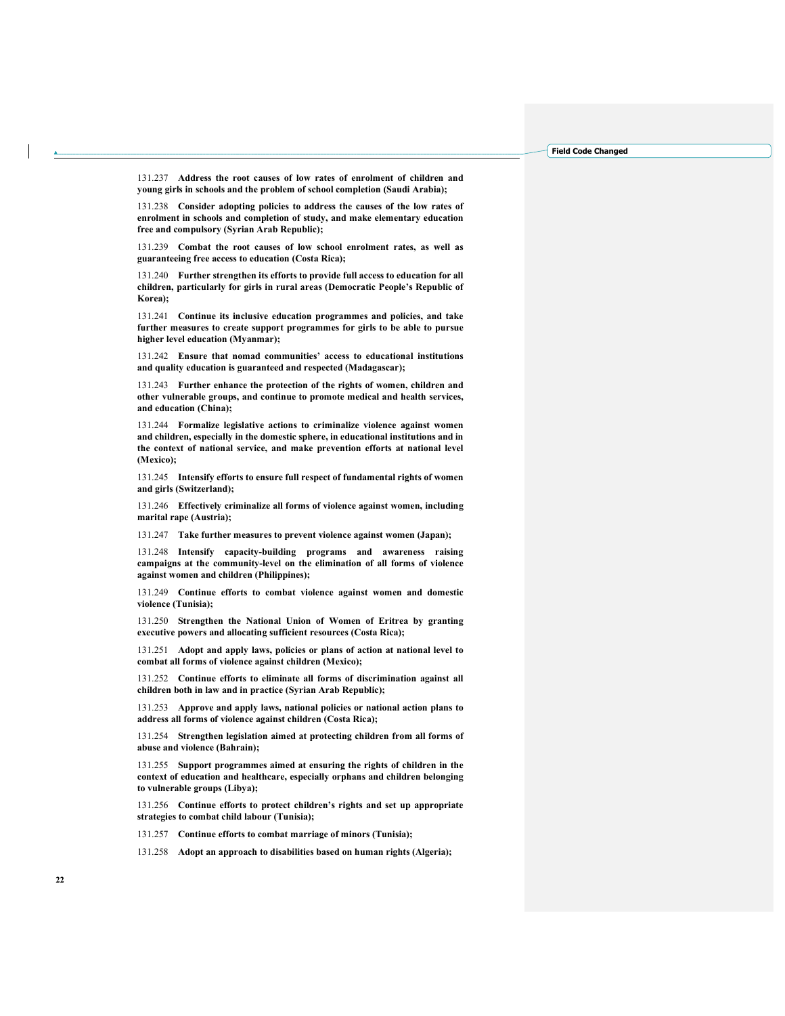131.237 Address the root causes of low rates of enrolment of children and young girls in schools and the problem of school completion (Saudi Arabia);

131.238 Consider adopting policies to address the causes of the low rates of enrolment in schools and completion of study, and make elementary education free and compulsory (Syrian Arab Republic);

131.239 Combat the root causes of low school enrolment rates, as well as guaranteeing free access to education (Costa Rica);

131.240 Further strengthen its efforts to provide full access to education for all children, particularly for girls in rural areas (Democratic People's Republic of Korea);

131.241 Continue its inclusive education programmes and policies, and take further measures to create support programmes for girls to be able to pursue higher level education (Myanmar);

131.242 Ensure that nomad communities' access to educational institutions and quality education is guaranteed and respected (Madagascar);

131.243 Further enhance the protection of the rights of women, children and other vulnerable groups, and continue to promote medical and health services, and education (China);

131.244 Formalize legislative actions to criminalize violence against women and children, especially in the domestic sphere, in educational institutions and in the context of national service, and make prevention efforts at national level (Mexico);

131.245 Intensify efforts to ensure full respect of fundamental rights of women and girls (Switzerland);

131.246 Effectively criminalize all forms of violence against women, including marital rape (Austria);

131.247 Take further measures to prevent violence against women (Japan);

131.248 Intensify capacity-building programs and awareness raising campaigns at the community-level on the elimination of all forms of violence against women and children (Philippines);

131.249 Continue efforts to combat violence against women and domestic violence (Tunisia);

131.250 Strengthen the National Union of Women of Eritrea by granting executive powers and allocating sufficient resources (Costa Rica);

131.251 Adopt and apply laws, policies or plans of action at national level to combat all forms of violence against children (Mexico);

131.252 Continue efforts to eliminate all forms of discrimination against all children both in law and in practice (Syrian Arab Republic);

131.253 Approve and apply laws, national policies or national action plans to address all forms of violence against children (Costa Rica);

131.254 Strengthen legislation aimed at protecting children from all forms of abuse and violence (Bahrain);

131.255 Support programmes aimed at ensuring the rights of children in the context of education and healthcare, especially orphans and children belonging to vulnerable groups (Libya);

131.256 Continue efforts to protect children's rights and set up appropriate strategies to combat child labour (Tunisia);

131.257 Continue efforts to combat marriage of minors (Tunisia);

131.258 Adopt an approach to disabilities based on human rights (Algeria);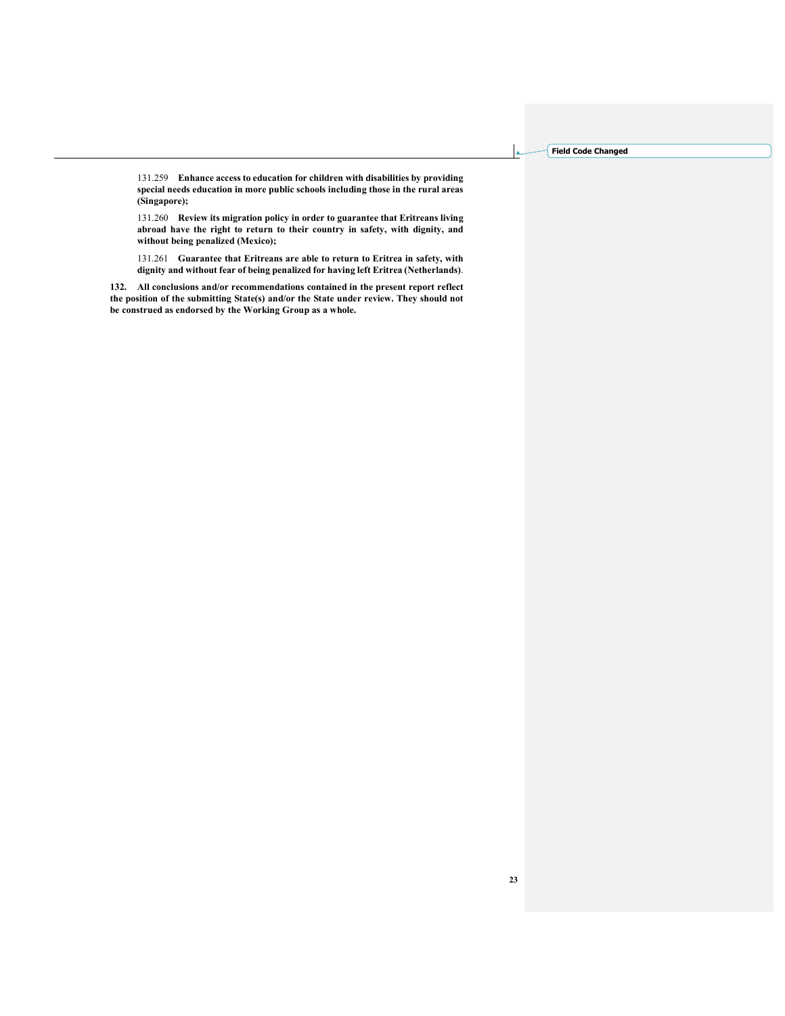131.259 Enhance access to education for children with disabilities by providing special needs education in more public schools including those in the rural areas (Singapore);

131.260 Review its migration policy in order to guarantee that Eritreans living abroad have the right to return to their country in safety, with dignity, and without being penalized (Mexico);

131.261 Guarantee that Eritreans are able to return to Eritrea in safety, with dignity and without fear of being penalized for having left Eritrea (Netherlands).

132. All conclusions and/or recommendations contained in the present report reflect the position of the submitting State(s) and/or the State under review. They should not be construed as endorsed by the Working Group as a whole.